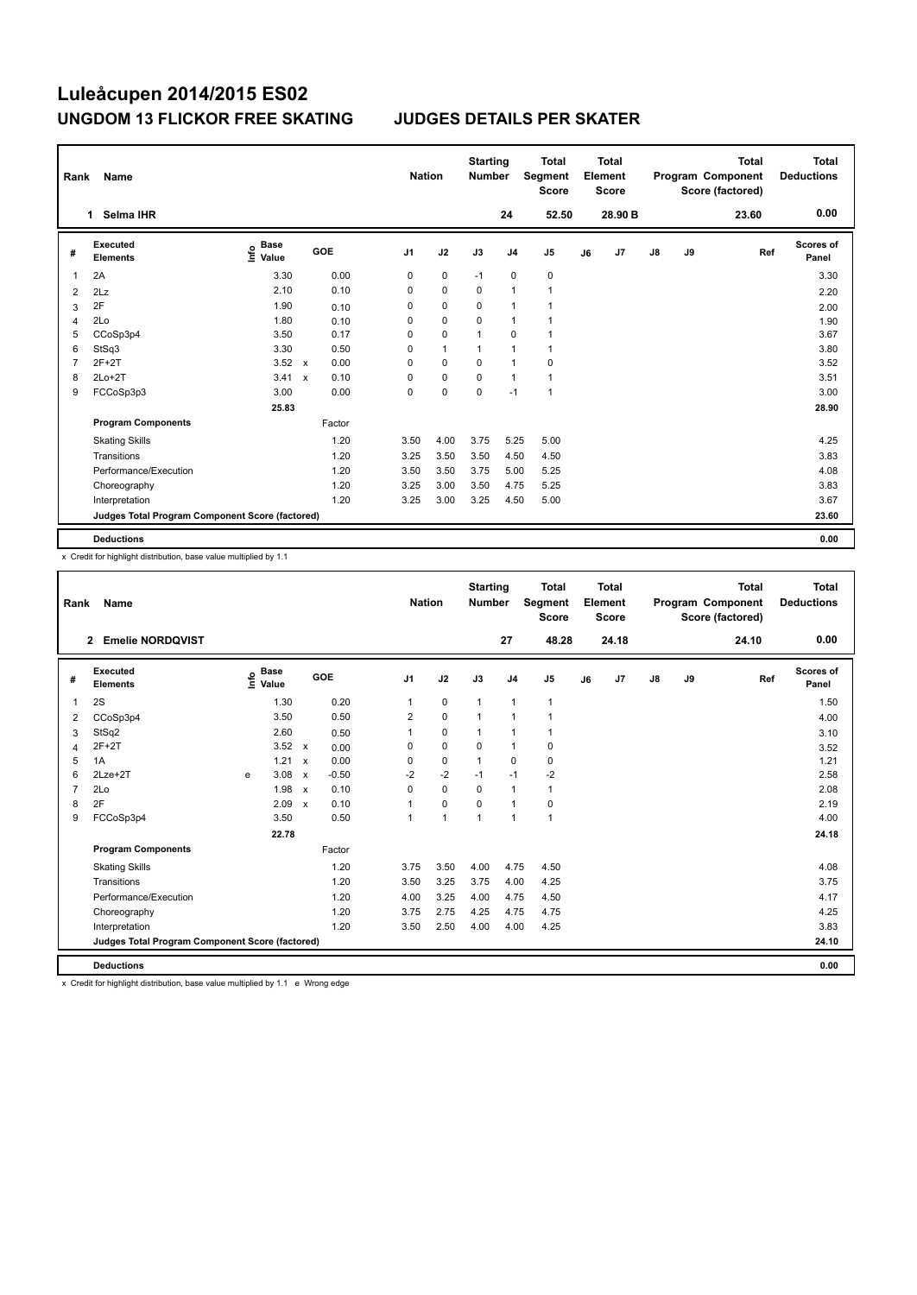| Rank           | Name                                            |                                  |                           |            |                | <b>Nation</b> | <b>Starting</b><br><b>Number</b> |                | <b>Total</b><br>Segment<br><b>Score</b> |    | <b>Total</b><br>Element<br><b>Score</b> |               |    | <b>Total</b><br>Program Component<br>Score (factored) | <b>Total</b><br><b>Deductions</b> |
|----------------|-------------------------------------------------|----------------------------------|---------------------------|------------|----------------|---------------|----------------------------------|----------------|-----------------------------------------|----|-----------------------------------------|---------------|----|-------------------------------------------------------|-----------------------------------|
|                | Selma IHR<br>1                                  |                                  |                           |            |                |               |                                  | 24             | 52.50                                   |    | 28.90 B                                 |               |    | 23.60                                                 | 0.00                              |
| #              | Executed<br><b>Elements</b>                     | <b>Base</b><br>e Base<br>E Value |                           | <b>GOE</b> | J <sub>1</sub> | J2            | J3                               | J <sub>4</sub> | J <sub>5</sub>                          | J6 | J7                                      | $\mathsf{J}8$ | J9 | Ref                                                   | Scores of<br>Panel                |
| -1             | 2A                                              | 3.30                             |                           | 0.00       | 0              | 0             | $-1$                             | $\mathbf 0$    | $\pmb{0}$                               |    |                                         |               |    |                                                       | 3.30                              |
| $\overline{2}$ | 2Lz                                             | 2.10                             |                           | 0.10       | 0              | $\mathbf 0$   | $\Omega$                         | $\overline{1}$ | $\mathbf{1}$                            |    |                                         |               |    |                                                       | 2.20                              |
| 3              | 2F                                              | 1.90                             |                           | 0.10       | 0              | $\mathbf 0$   | $\Omega$                         | $\overline{1}$ | 1                                       |    |                                         |               |    |                                                       | 2.00                              |
| 4              | 2Lo                                             | 1.80                             |                           | 0.10       | 0              | $\mathbf 0$   | $\mathbf 0$                      | $\overline{1}$ |                                         |    |                                         |               |    |                                                       | 1.90                              |
| 5              | CCoSp3p4                                        | 3.50                             |                           | 0.17       | 0              | $\pmb{0}$     | 1                                | 0              |                                         |    |                                         |               |    |                                                       | 3.67                              |
| 6              | StSq3                                           | 3.30                             |                           | 0.50       | 0              | $\mathbf{1}$  | 1                                | $\overline{1}$ | 1                                       |    |                                         |               |    |                                                       | 3.80                              |
| 7              | $2F+2T$                                         | 3.52                             | $\boldsymbol{\mathsf{x}}$ | 0.00       | 0              | $\mathbf 0$   | $\mathbf 0$                      | $\overline{1}$ | $\pmb{0}$                               |    |                                         |               |    |                                                       | 3.52                              |
| 8              | $2Lo+2T$                                        | 3.41                             | $\boldsymbol{\mathsf{x}}$ | 0.10       | 0              | $\pmb{0}$     | $\Omega$                         | $\overline{1}$ | $\mathbf{1}$                            |    |                                         |               |    |                                                       | 3.51                              |
| 9              | FCCoSp3p3                                       | 3.00                             |                           | 0.00       | 0              | $\mathbf 0$   | $\mathbf 0$                      | $-1$           | $\overline{1}$                          |    |                                         |               |    |                                                       | 3.00                              |
|                |                                                 | 25.83                            |                           |            |                |               |                                  |                |                                         |    |                                         |               |    |                                                       | 28.90                             |
|                | <b>Program Components</b>                       |                                  |                           | Factor     |                |               |                                  |                |                                         |    |                                         |               |    |                                                       |                                   |
|                | <b>Skating Skills</b>                           |                                  |                           | 1.20       | 3.50           | 4.00          | 3.75                             | 5.25           | 5.00                                    |    |                                         |               |    |                                                       | 4.25                              |
|                | Transitions                                     |                                  |                           | 1.20       | 3.25           | 3.50          | 3.50                             | 4.50           | 4.50                                    |    |                                         |               |    |                                                       | 3.83                              |
|                | Performance/Execution                           |                                  |                           | 1.20       | 3.50           | 3.50          | 3.75                             | 5.00           | 5.25                                    |    |                                         |               |    |                                                       | 4.08                              |
|                | Choreography                                    |                                  |                           | 1.20       | 3.25           | 3.00          | 3.50                             | 4.75           | 5.25                                    |    |                                         |               |    |                                                       | 3.83                              |
|                | Interpretation                                  |                                  |                           | 1.20       | 3.25           | 3.00          | 3.25                             | 4.50           | 5.00                                    |    |                                         |               |    |                                                       | 3.67                              |
|                | Judges Total Program Component Score (factored) |                                  |                           |            |                |               |                                  |                |                                         |    |                                         |               |    |                                                       | 23.60                             |
|                | <b>Deductions</b>                               |                                  |                           |            |                |               |                                  |                |                                         |    |                                         |               |    |                                                       | 0.00                              |

x Credit for highlight distribution, base value multiplied by 1.1

| Rank           | Name                                            |                                  |                                   |         |                | <b>Nation</b> | <b>Starting</b><br><b>Number</b> |                | <b>Total</b><br>Segment<br><b>Score</b> |    | <b>Total</b><br>Element<br><b>Score</b> |               |    | <b>Total</b><br>Program Component<br>Score (factored) | <b>Total</b><br><b>Deductions</b> |
|----------------|-------------------------------------------------|----------------------------------|-----------------------------------|---------|----------------|---------------|----------------------------------|----------------|-----------------------------------------|----|-----------------------------------------|---------------|----|-------------------------------------------------------|-----------------------------------|
|                | <b>Emelie NORDQVIST</b><br>$\overline{2}$       |                                  |                                   |         |                |               |                                  | 27             | 48.28                                   |    | 24.18                                   |               |    | 24.10                                                 | 0.00                              |
| #              | Executed<br><b>Elements</b>                     | <b>Base</b><br>e Base<br>⊆ Value |                                   | GOE     | J <sub>1</sub> | J2            | J3                               | J <sub>4</sub> | J <sub>5</sub>                          | J6 | J7                                      | $\mathsf{J}8$ | J9 | Ref                                                   | Scores of<br>Panel                |
| $\overline{1}$ | 2S                                              |                                  | 1.30                              | 0.20    | $\mathbf{1}$   | $\mathbf 0$   | $\mathbf{1}$                     | $\mathbf{1}$   | 1                                       |    |                                         |               |    |                                                       | 1.50                              |
| 2              | CCoSp3p4                                        |                                  | 3.50                              | 0.50    | 2              | $\mathbf 0$   | $\mathbf{1}$                     | $\mathbf{1}$   | 1                                       |    |                                         |               |    |                                                       | 4.00                              |
| 3              | StSq2                                           |                                  | 2.60                              | 0.50    | 1              | $\pmb{0}$     | $\mathbf 1$                      | $\mathbf{1}$   | 1                                       |    |                                         |               |    |                                                       | 3.10                              |
| 4              | $2F+2T$                                         |                                  | 3.52<br>$\mathsf{x}$              | 0.00    | 0              | $\mathbf 0$   | 0                                | $\mathbf{1}$   | $\mathbf 0$                             |    |                                         |               |    |                                                       | 3.52                              |
| 5              | 1A                                              |                                  | 1.21<br>$\boldsymbol{\mathsf{x}}$ | 0.00    | 0              | $\mathbf 0$   | $\mathbf{1}$                     | 0              | $\mathbf 0$                             |    |                                         |               |    |                                                       | 1.21                              |
| 6              | $2$ Lze $+2$ T                                  | e                                | 3.08<br>$\boldsymbol{\mathsf{x}}$ | $-0.50$ | $-2$           | $-2$          | $-1$                             | $-1$           | $-2$                                    |    |                                         |               |    |                                                       | 2.58                              |
| $\overline{7}$ | 2Lo                                             |                                  | 1.98<br>$\boldsymbol{\mathsf{x}}$ | 0.10    | 0              | $\mathbf 0$   | $\Omega$                         | $\mathbf{1}$   | 1                                       |    |                                         |               |    |                                                       | 2.08                              |
| 8              | 2F                                              |                                  | 2.09<br>$\mathbf{x}$              | 0.10    |                | $\mathbf 0$   | $\Omega$                         | $\mathbf{1}$   | 0                                       |    |                                         |               |    |                                                       | 2.19                              |
| 9              | FCCoSp3p4                                       |                                  | 3.50                              | 0.50    |                | $\mathbf{1}$  | $\mathbf{1}$                     | $\mathbf{1}$   | $\mathbf{1}$                            |    |                                         |               |    |                                                       | 4.00                              |
|                |                                                 |                                  | 22.78                             |         |                |               |                                  |                |                                         |    |                                         |               |    |                                                       | 24.18                             |
|                | <b>Program Components</b>                       |                                  |                                   | Factor  |                |               |                                  |                |                                         |    |                                         |               |    |                                                       |                                   |
|                | <b>Skating Skills</b>                           |                                  |                                   | 1.20    | 3.75           | 3.50          | 4.00                             | 4.75           | 4.50                                    |    |                                         |               |    |                                                       | 4.08                              |
|                | Transitions                                     |                                  |                                   | 1.20    | 3.50           | 3.25          | 3.75                             | 4.00           | 4.25                                    |    |                                         |               |    |                                                       | 3.75                              |
|                | Performance/Execution                           |                                  |                                   | 1.20    | 4.00           | 3.25          | 4.00                             | 4.75           | 4.50                                    |    |                                         |               |    |                                                       | 4.17                              |
|                | Choreography                                    |                                  |                                   | 1.20    | 3.75           | 2.75          | 4.25                             | 4.75           | 4.75                                    |    |                                         |               |    |                                                       | 4.25                              |
|                | Interpretation                                  |                                  |                                   | 1.20    | 3.50           | 2.50          | 4.00                             | 4.00           | 4.25                                    |    |                                         |               |    |                                                       | 3.83                              |
|                | Judges Total Program Component Score (factored) |                                  |                                   |         |                |               |                                  |                |                                         |    |                                         |               |    |                                                       | 24.10                             |
|                | <b>Deductions</b>                               |                                  |                                   |         |                |               |                                  |                |                                         |    |                                         |               |    |                                                       | 0.00                              |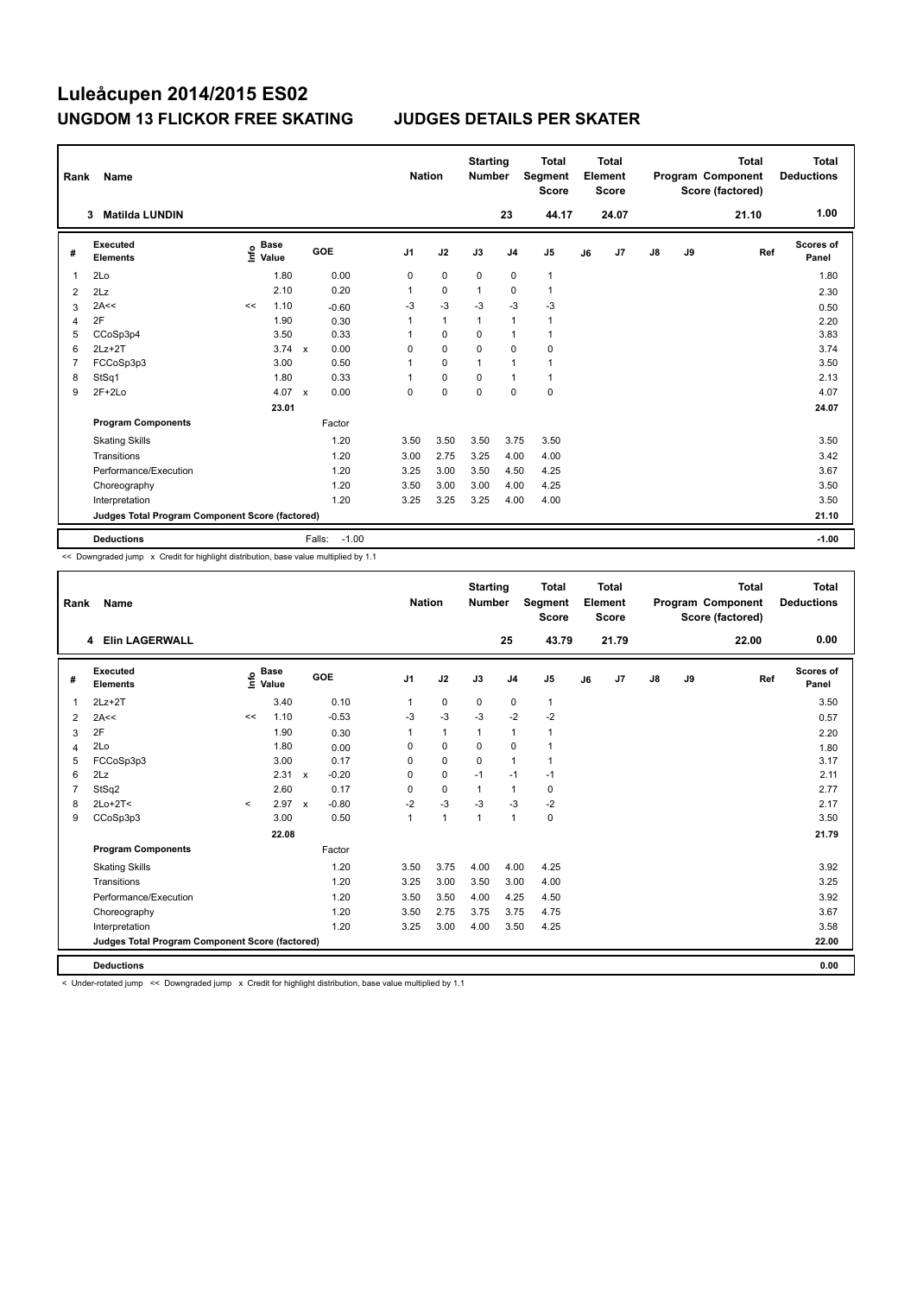| Rank           | Name                                            |                                  |       |                                   | <b>Nation</b>  |              | <b>Starting</b><br><b>Number</b> |                | <b>Total</b><br>Segment<br><b>Score</b> |    | <b>Total</b><br>Element<br>Score |               |    | <b>Total</b><br>Program Component<br>Score (factored) | Total<br><b>Deductions</b> |
|----------------|-------------------------------------------------|----------------------------------|-------|-----------------------------------|----------------|--------------|----------------------------------|----------------|-----------------------------------------|----|----------------------------------|---------------|----|-------------------------------------------------------|----------------------------|
|                | <b>Matilda LUNDIN</b><br>3                      |                                  |       |                                   |                |              |                                  | 23             | 44.17                                   |    | 24.07                            |               |    | 21.10                                                 | 1.00                       |
| #              | <b>Executed</b><br><b>Elements</b>              | <b>Base</b><br>e Base<br>⊆ Value |       | GOE                               | J <sub>1</sub> | J2           | J3                               | J <sub>4</sub> | J <sub>5</sub>                          | J6 | J7                               | $\mathsf{J}8$ | J9 | Ref                                                   | Scores of<br>Panel         |
| 1              | 2Lo                                             |                                  | 1.80  | 0.00                              | 0              | $\mathbf 0$  | $\mathbf 0$                      | $\mathbf 0$    | $\mathbf 1$                             |    |                                  |               |    |                                                       | 1.80                       |
| 2              | 2Lz                                             |                                  | 2.10  | 0.20                              | 1              | $\Omega$     | $\overline{1}$                   | $\Omega$       | $\mathbf{1}$                            |    |                                  |               |    |                                                       | 2.30                       |
| 3              | 2A<<                                            | <<                               | 1.10  | $-0.60$                           | $-3$           | $-3$         | $-3$                             | $-3$           | -3                                      |    |                                  |               |    |                                                       | 0.50                       |
| $\overline{4}$ | 2F                                              |                                  | 1.90  | 0.30                              | 1              | $\mathbf{1}$ | 1                                | $\overline{1}$ | $\mathbf{1}$                            |    |                                  |               |    |                                                       | 2.20                       |
| 5              | CCoSp3p4                                        |                                  | 3.50  | 0.33                              | 1              | 0            | 0                                | 1              | $\mathbf{1}$                            |    |                                  |               |    |                                                       | 3.83                       |
| 6              | $2Lz + 2T$                                      |                                  | 3.74  | 0.00<br>$\mathsf{x}$              | 0              | $\mathbf 0$  | $\Omega$                         | $\mathbf 0$    | $\mathbf 0$                             |    |                                  |               |    |                                                       | 3.74                       |
| 7              | FCCoSp3p3                                       |                                  | 3.00  | 0.50                              | 1              | $\Omega$     | 1                                | $\overline{1}$ | 1                                       |    |                                  |               |    |                                                       | 3.50                       |
| 8              | StSq1                                           |                                  | 1.80  | 0.33                              | 1              | 0            | 0                                | $\overline{1}$ | $\mathbf{1}$                            |    |                                  |               |    |                                                       | 2.13                       |
| 9              | $2F+2Lo$                                        |                                  | 4.07  | 0.00<br>$\boldsymbol{\mathsf{x}}$ | 0              | $\mathbf 0$  | 0                                | $\mathbf 0$    | $\pmb{0}$                               |    |                                  |               |    |                                                       | 4.07                       |
|                |                                                 |                                  | 23.01 |                                   |                |              |                                  |                |                                         |    |                                  |               |    |                                                       | 24.07                      |
|                | <b>Program Components</b>                       |                                  |       | Factor                            |                |              |                                  |                |                                         |    |                                  |               |    |                                                       |                            |
|                | <b>Skating Skills</b>                           |                                  |       | 1.20                              | 3.50           | 3.50         | 3.50                             | 3.75           | 3.50                                    |    |                                  |               |    |                                                       | 3.50                       |
|                | Transitions                                     |                                  |       | 1.20                              | 3.00           | 2.75         | 3.25                             | 4.00           | 4.00                                    |    |                                  |               |    |                                                       | 3.42                       |
|                | Performance/Execution                           |                                  |       | 1.20                              | 3.25           | 3.00         | 3.50                             | 4.50           | 4.25                                    |    |                                  |               |    |                                                       | 3.67                       |
|                | Choreography                                    |                                  |       | 1.20                              | 3.50           | 3.00         | 3.00                             | 4.00           | 4.25                                    |    |                                  |               |    |                                                       | 3.50                       |
|                | Interpretation                                  |                                  |       | 1.20                              | 3.25           | 3.25         | 3.25                             | 4.00           | 4.00                                    |    |                                  |               |    |                                                       | 3.50                       |
|                | Judges Total Program Component Score (factored) |                                  |       |                                   |                |              |                                  |                |                                         |    |                                  |               |    |                                                       | 21.10                      |
|                | <b>Deductions</b>                               |                                  |       | $-1.00$<br>Falls:                 |                |              |                                  |                |                                         |    |                                  |               |    |                                                       | $-1.00$                    |

<< Downgraded jump x Credit for highlight distribution, base value multiplied by 1.1

| Rank           | <b>Name</b>                                     |         |                                  |                                      |                | <b>Nation</b> | <b>Starting</b><br><b>Number</b> |                | <b>Total</b><br>Segment<br><b>Score</b> |    | <b>Total</b><br>Element<br><b>Score</b> |               |    | <b>Total</b><br>Program Component<br>Score (factored) | <b>Total</b><br><b>Deductions</b> |
|----------------|-------------------------------------------------|---------|----------------------------------|--------------------------------------|----------------|---------------|----------------------------------|----------------|-----------------------------------------|----|-----------------------------------------|---------------|----|-------------------------------------------------------|-----------------------------------|
|                | 4 Elin LAGERWALL                                |         |                                  |                                      |                |               |                                  | 25             | 43.79                                   |    | 21.79                                   |               |    | 22.00                                                 | 0.00                              |
| #              | Executed<br><b>Elements</b>                     |         | <b>Base</b><br>e Base<br>⊆ Value | GOE                                  | J <sub>1</sub> | J2            | J3                               | J <sub>4</sub> | J <sub>5</sub>                          | J6 | J7                                      | $\mathsf{J}8$ | J9 | Ref                                                   | <b>Scores of</b><br>Panel         |
| 1              | $2Lz+2T$                                        |         | 3.40                             | 0.10                                 | $\mathbf{1}$   | 0             | $\mathbf 0$                      | $\mathbf 0$    | 1                                       |    |                                         |               |    |                                                       | 3.50                              |
| 2              | 2A<<                                            | <<      | 1.10                             | $-0.53$                              | $-3$           | $-3$          | $-3$                             | $-2$           | $-2$                                    |    |                                         |               |    |                                                       | 0.57                              |
| 3              | 2F                                              |         | 1.90                             | 0.30                                 | 1              | $\mathbf{1}$  | 1                                | $\mathbf{1}$   | 1                                       |    |                                         |               |    |                                                       | 2.20                              |
| $\overline{4}$ | 2Lo                                             |         | 1.80                             | 0.00                                 | 0              | $\mathbf 0$   | 0                                | $\mathbf 0$    | 1                                       |    |                                         |               |    |                                                       | 1.80                              |
| 5              | FCCoSp3p3                                       |         | 3.00                             | 0.17                                 | $\Omega$       | 0             | 0                                | $\mathbf{1}$   | 1                                       |    |                                         |               |    |                                                       | 3.17                              |
| 6              | 2Lz                                             |         | 2.31                             | $-0.20$<br>$\mathsf{x}$              | $\Omega$       | 0             | $-1$                             | $-1$           | $-1$                                    |    |                                         |               |    |                                                       | 2.11                              |
| 7              | StSq2                                           |         | 2.60                             | 0.17                                 | 0              | $\mathbf 0$   | 1                                | $\mathbf{1}$   | 0                                       |    |                                         |               |    |                                                       | 2.77                              |
| 8              | $2Lo+2T<$                                       | $\prec$ | 2.97                             | $-0.80$<br>$\boldsymbol{\mathsf{x}}$ | $-2$           | $-3$          | $-3$                             | $-3$           | $-2$                                    |    |                                         |               |    |                                                       | 2.17                              |
| 9              | CCoSp3p3                                        |         | 3.00                             | 0.50                                 | 1              | $\mathbf{1}$  | $\mathbf{1}$                     | $\mathbf{1}$   | 0                                       |    |                                         |               |    |                                                       | 3.50                              |
|                |                                                 |         | 22.08                            |                                      |                |               |                                  |                |                                         |    |                                         |               |    |                                                       | 21.79                             |
|                | <b>Program Components</b>                       |         |                                  | Factor                               |                |               |                                  |                |                                         |    |                                         |               |    |                                                       |                                   |
|                | <b>Skating Skills</b>                           |         |                                  | 1.20                                 | 3.50           | 3.75          | 4.00                             | 4.00           | 4.25                                    |    |                                         |               |    |                                                       | 3.92                              |
|                | Transitions                                     |         |                                  | 1.20                                 | 3.25           | 3.00          | 3.50                             | 3.00           | 4.00                                    |    |                                         |               |    |                                                       | 3.25                              |
|                | Performance/Execution                           |         |                                  | 1.20                                 | 3.50           | 3.50          | 4.00                             | 4.25           | 4.50                                    |    |                                         |               |    |                                                       | 3.92                              |
|                | Choreography                                    |         |                                  | 1.20                                 | 3.50           | 2.75          | 3.75                             | 3.75           | 4.75                                    |    |                                         |               |    |                                                       | 3.67                              |
|                | Interpretation                                  |         |                                  | 1.20                                 | 3.25           | 3.00          | 4.00                             | 3.50           | 4.25                                    |    |                                         |               |    |                                                       | 3.58                              |
|                | Judges Total Program Component Score (factored) |         |                                  |                                      |                |               |                                  |                |                                         |    |                                         |               |    |                                                       | 22.00                             |
|                | <b>Deductions</b>                               |         |                                  |                                      |                |               |                                  |                |                                         |    |                                         |               |    |                                                       | 0.00                              |

< Under-rotated jump << Downgraded jump x Credit for highlight distribution, base value multiplied by 1.1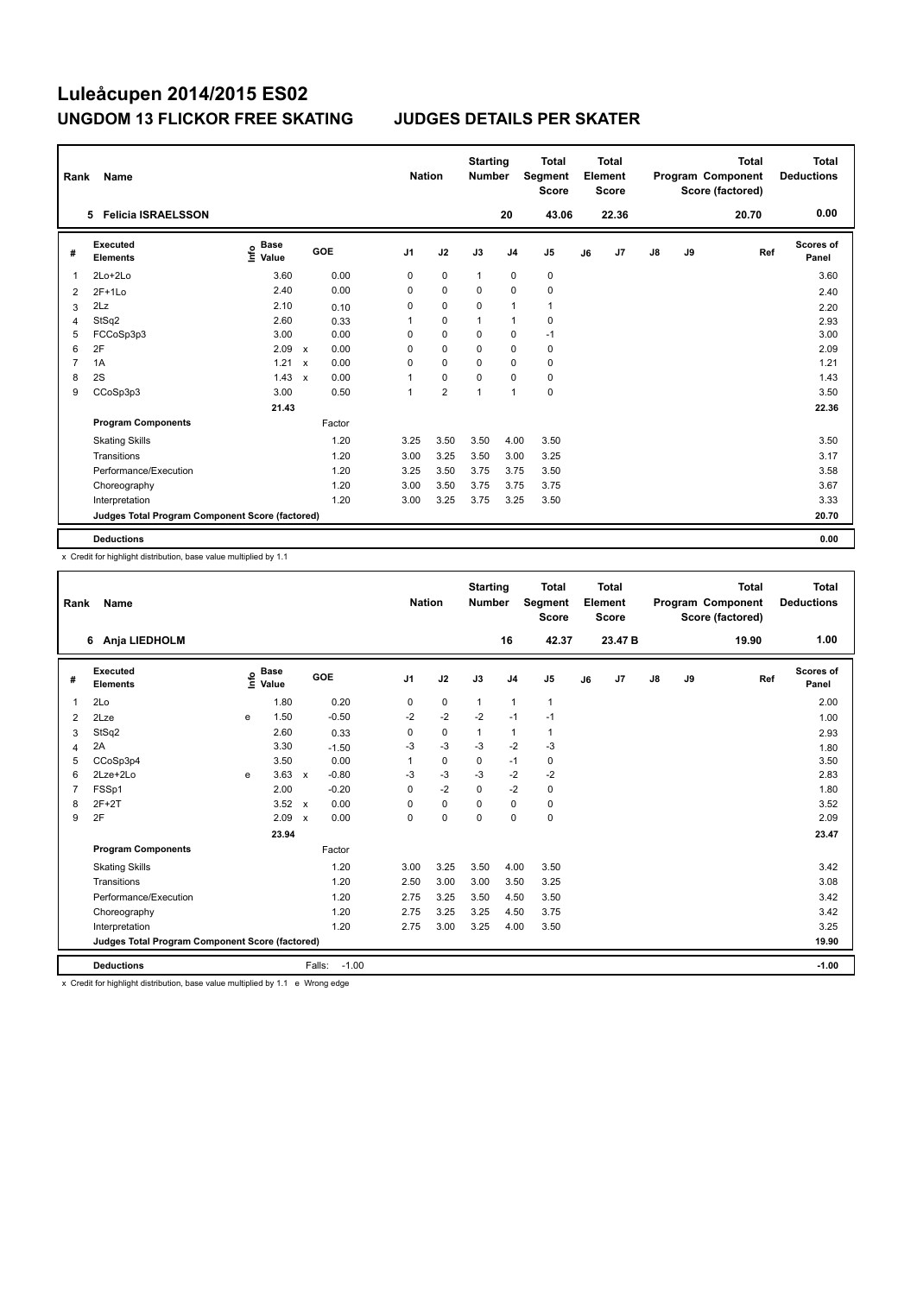| Rank | Name                                            |                                  |                           |        |                | <b>Nation</b> |                | <b>Starting</b><br><b>Number</b> |                | <b>Total</b><br>Segment<br><b>Score</b> |    | <b>Total</b><br>Element<br><b>Score</b> |               |    | <b>Total</b><br>Program Component<br>Score (factored) | <b>Total</b><br><b>Deductions</b> |
|------|-------------------------------------------------|----------------------------------|---------------------------|--------|----------------|---------------|----------------|----------------------------------|----------------|-----------------------------------------|----|-----------------------------------------|---------------|----|-------------------------------------------------------|-----------------------------------|
|      | <b>Felicia ISRAELSSON</b><br>5                  |                                  |                           |        |                |               |                |                                  | 20             | 43.06                                   |    | 22.36                                   |               |    | 20.70                                                 | 0.00                              |
| #    | Executed<br><b>Elements</b>                     | <b>Base</b><br>e Base<br>⊆ Value |                           | GOE    | J <sub>1</sub> | J2            |                | J3                               | J <sub>4</sub> | J5                                      | J6 | J7                                      | $\mathsf{J}8$ | J9 | Ref                                                   | Scores of<br>Panel                |
| 1    | 2Lo+2Lo                                         | 3.60                             |                           | 0.00   | 0              |               | $\mathbf 0$    | $\mathbf{1}$                     | 0              | 0                                       |    |                                         |               |    |                                                       | 3.60                              |
| 2    | $2F+1Lo$                                        | 2.40                             |                           | 0.00   | 0              |               | $\mathbf 0$    | 0                                | $\mathbf 0$    | $\mathbf 0$                             |    |                                         |               |    |                                                       | 2.40                              |
| 3    | 2Lz                                             | 2.10                             |                           | 0.10   | 0              |               | $\mathbf 0$    | 0                                | $\overline{1}$ | $\mathbf{1}$                            |    |                                         |               |    |                                                       | 2.20                              |
| 4    | StSq2                                           | 2.60                             |                           | 0.33   | 1              |               | $\mathbf 0$    | $\overline{1}$                   | $\overline{1}$ | $\pmb{0}$                               |    |                                         |               |    |                                                       | 2.93                              |
| 5    | FCCoSp3p3                                       | 3.00                             |                           | 0.00   | 0              |               | 0              | 0                                | 0              | $-1$                                    |    |                                         |               |    |                                                       | 3.00                              |
| 6    | 2F                                              | 2.09                             | $\mathsf{x}$              | 0.00   | 0              | $\mathbf 0$   |                | 0                                | $\mathbf 0$    | $\pmb{0}$                               |    |                                         |               |    |                                                       | 2.09                              |
| 7    | 1A                                              | 1.21                             | $\boldsymbol{\mathsf{x}}$ | 0.00   | 0              |               | $\mathbf 0$    | 0                                | $\mathbf 0$    | 0                                       |    |                                         |               |    |                                                       | 1.21                              |
| 8    | 2S                                              | 1.43                             | $\boldsymbol{\mathsf{x}}$ | 0.00   | 1              | $\mathbf 0$   |                | 0                                | 0              | $\pmb{0}$                               |    |                                         |               |    |                                                       | 1.43                              |
| 9    | CCoSp3p3                                        | 3.00                             |                           | 0.50   | 1              |               | $\overline{2}$ | 1                                | $\overline{1}$ | $\mathbf 0$                             |    |                                         |               |    |                                                       | 3.50                              |
|      |                                                 | 21.43                            |                           |        |                |               |                |                                  |                |                                         |    |                                         |               |    |                                                       | 22.36                             |
|      | <b>Program Components</b>                       |                                  |                           | Factor |                |               |                |                                  |                |                                         |    |                                         |               |    |                                                       |                                   |
|      | <b>Skating Skills</b>                           |                                  |                           | 1.20   | 3.25           |               | 3.50           | 3.50                             | 4.00           | 3.50                                    |    |                                         |               |    |                                                       | 3.50                              |
|      | Transitions                                     |                                  |                           | 1.20   | 3.00           |               | 3.25           | 3.50                             | 3.00           | 3.25                                    |    |                                         |               |    |                                                       | 3.17                              |
|      | Performance/Execution                           |                                  |                           | 1.20   | 3.25           |               | 3.50           | 3.75                             | 3.75           | 3.50                                    |    |                                         |               |    |                                                       | 3.58                              |
|      | Choreography                                    |                                  |                           | 1.20   | 3.00           |               | 3.50           | 3.75                             | 3.75           | 3.75                                    |    |                                         |               |    |                                                       | 3.67                              |
|      | Interpretation                                  |                                  |                           | 1.20   | 3.00           |               | 3.25           | 3.75                             | 3.25           | 3.50                                    |    |                                         |               |    |                                                       | 3.33                              |
|      | Judges Total Program Component Score (factored) |                                  |                           |        |                |               |                |                                  |                |                                         |    |                                         |               |    |                                                       | 20.70                             |
|      | <b>Deductions</b>                               |                                  |                           |        |                |               |                |                                  |                |                                         |    |                                         |               |    |                                                       | 0.00                              |

x Credit for highlight distribution, base value multiplied by 1.1

| Rank           | Name                                            |   |                                  |                           |         | <b>Nation</b>  |             | <b>Starting</b><br><b>Number</b> |                | <b>Total</b><br>Segment<br><b>Score</b> |    | Total<br>Element<br><b>Score</b> |               |    | <b>Total</b><br>Program Component<br>Score (factored) | Total<br><b>Deductions</b> |
|----------------|-------------------------------------------------|---|----------------------------------|---------------------------|---------|----------------|-------------|----------------------------------|----------------|-----------------------------------------|----|----------------------------------|---------------|----|-------------------------------------------------------|----------------------------|
|                | 6 Anja LIEDHOLM                                 |   |                                  |                           |         |                |             |                                  | 16             | 42.37                                   |    | 23.47 B                          |               |    | 19.90                                                 | 1.00                       |
| #              | Executed<br><b>Elements</b>                     |   | <b>Base</b><br>e Base<br>⊆ Value |                           | GOE     | J <sub>1</sub> | J2          | J3                               | J <sub>4</sub> | J <sub>5</sub>                          | J6 | J7                               | $\mathsf{J}8$ | J9 | Ref                                                   | <b>Scores of</b><br>Panel  |
| 1              | 2Lo                                             |   | 1.80                             |                           | 0.20    | 0              | $\mathbf 0$ | $\mathbf{1}$                     | $\mathbf{1}$   | $\mathbf{1}$                            |    |                                  |               |    |                                                       | 2.00                       |
| $\overline{2}$ | 2Lze                                            | e | 1.50                             |                           | $-0.50$ | $-2$           | $-2$        | $-2$                             | $-1$           | $-1$                                    |    |                                  |               |    |                                                       | 1.00                       |
| 3              | StSq2                                           |   | 2.60                             |                           | 0.33    | 0              | $\pmb{0}$   | $\mathbf{1}$                     | $\mathbf{1}$   | $\mathbf{1}$                            |    |                                  |               |    |                                                       | 2.93                       |
| 4              | 2A                                              |   | 3.30                             |                           | $-1.50$ | -3             | $-3$        | -3                               | $-2$           | $-3$                                    |    |                                  |               |    |                                                       | 1.80                       |
| 5              | CCoSp3p4                                        |   | 3.50                             |                           | 0.00    | 1              | $\mathbf 0$ | $\mathbf 0$                      | $-1$           | $\mathbf 0$                             |    |                                  |               |    |                                                       | 3.50                       |
| 6              | 2Lze+2Lo                                        | e | 3.63                             | $\mathsf{x}$              | $-0.80$ | -3             | $-3$        | -3                               | $-2$           | $-2$                                    |    |                                  |               |    |                                                       | 2.83                       |
| $\overline{7}$ | FSSp1                                           |   | 2.00                             |                           | $-0.20$ | 0              | $-2$        | $\mathbf 0$                      | $-2$           | $\pmb{0}$                               |    |                                  |               |    |                                                       | 1.80                       |
| 8              | $2F+2T$                                         |   | 3.52                             | $\mathbf{x}$              | 0.00    | $\Omega$       | $\mathbf 0$ | $\Omega$                         | 0              | 0                                       |    |                                  |               |    |                                                       | 3.52                       |
| 9              | 2F                                              |   | 2.09                             | $\boldsymbol{\mathsf{x}}$ | 0.00    | 0              | $\mathbf 0$ | $\mathbf 0$                      | 0              | $\mathbf 0$                             |    |                                  |               |    |                                                       | 2.09                       |
|                |                                                 |   | 23.94                            |                           |         |                |             |                                  |                |                                         |    |                                  |               |    |                                                       | 23.47                      |
|                | <b>Program Components</b>                       |   |                                  |                           | Factor  |                |             |                                  |                |                                         |    |                                  |               |    |                                                       |                            |
|                | <b>Skating Skills</b>                           |   |                                  |                           | 1.20    | 3.00           | 3.25        | 3.50                             | 4.00           | 3.50                                    |    |                                  |               |    |                                                       | 3.42                       |
|                | Transitions                                     |   |                                  |                           | 1.20    | 2.50           | 3.00        | 3.00                             | 3.50           | 3.25                                    |    |                                  |               |    |                                                       | 3.08                       |
|                | Performance/Execution                           |   |                                  |                           | 1.20    | 2.75           | 3.25        | 3.50                             | 4.50           | 3.50                                    |    |                                  |               |    |                                                       | 3.42                       |
|                | Choreography                                    |   |                                  |                           | 1.20    | 2.75           | 3.25        | 3.25                             | 4.50           | 3.75                                    |    |                                  |               |    |                                                       | 3.42                       |
|                | Interpretation                                  |   |                                  |                           | 1.20    | 2.75           | 3.00        | 3.25                             | 4.00           | 3.50                                    |    |                                  |               |    |                                                       | 3.25                       |
|                | Judges Total Program Component Score (factored) |   |                                  |                           |         |                |             |                                  |                |                                         |    |                                  |               |    |                                                       | 19.90                      |
|                | <b>Deductions</b>                               |   |                                  | Falls:                    | $-1.00$ |                |             |                                  |                |                                         |    |                                  |               |    |                                                       | $-1.00$                    |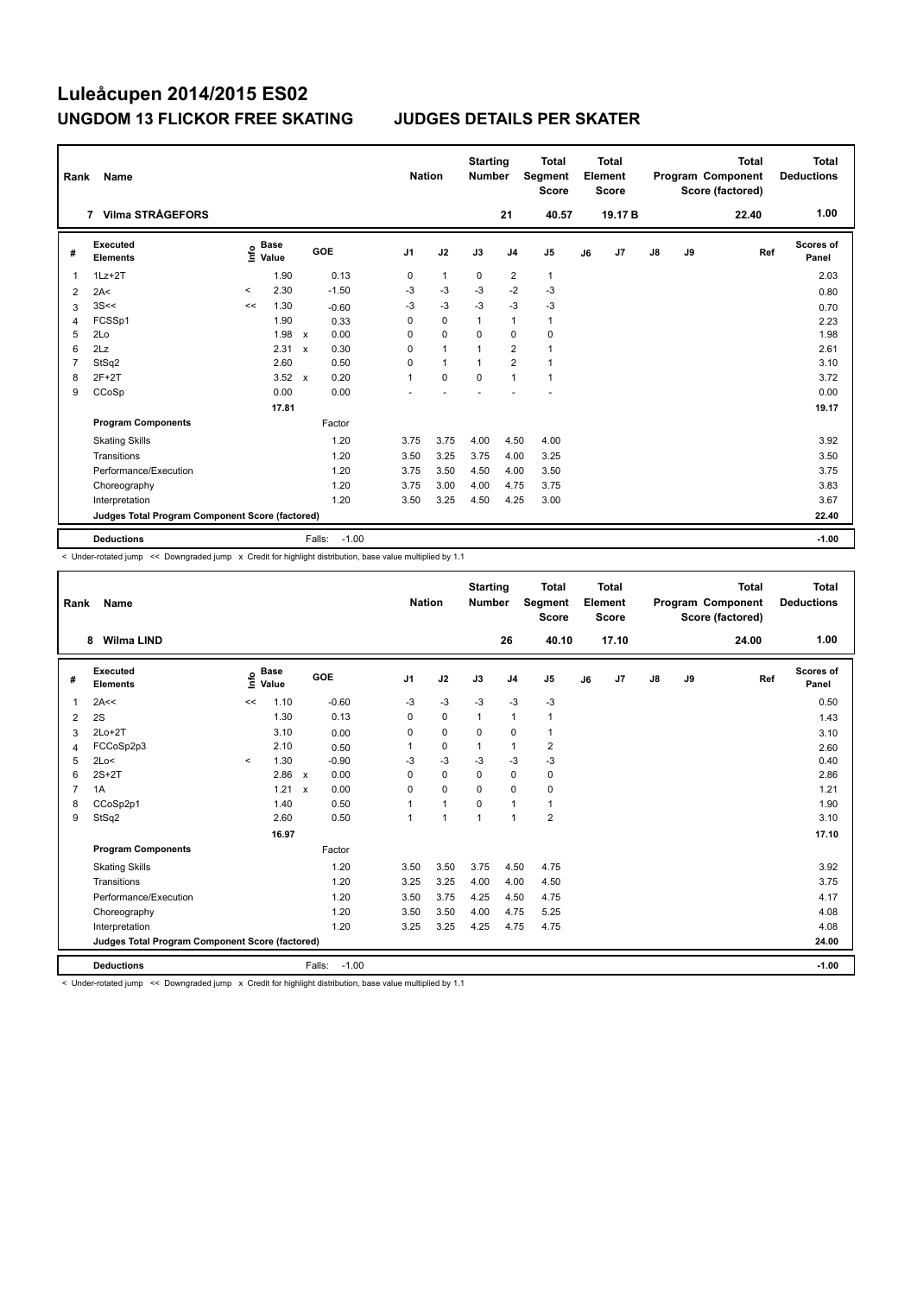| Rank           | Name                                            |         |                                  |                           |                   | <b>Nation</b>  |              | <b>Starting</b><br><b>Number</b> |                | <b>Total</b><br>Segment<br><b>Score</b> |    | <b>Total</b><br>Element<br><b>Score</b> |               |    | <b>Total</b><br>Program Component<br>Score (factored) | Total<br><b>Deductions</b> |
|----------------|-------------------------------------------------|---------|----------------------------------|---------------------------|-------------------|----------------|--------------|----------------------------------|----------------|-----------------------------------------|----|-----------------------------------------|---------------|----|-------------------------------------------------------|----------------------------|
|                | 7 Vilma STRÅGEFORS                              |         |                                  |                           |                   |                |              |                                  | 21             | 40.57                                   |    | 19.17 <sub>B</sub>                      |               |    | 22.40                                                 | 1.00                       |
| #              | Executed<br><b>Elements</b>                     |         | <b>Base</b><br>e Base<br>E Value |                           | GOE               | J <sub>1</sub> | J2           | J3                               | J <sub>4</sub> | J5                                      | J6 | J7                                      | $\mathsf{J}8$ | J9 | Ref                                                   | <b>Scores of</b><br>Panel  |
| $\mathbf 1$    | $1Lz + 2T$                                      |         | 1.90                             |                           | 0.13              | 0              | $\mathbf{1}$ | 0                                | $\overline{2}$ | $\mathbf{1}$                            |    |                                         |               |    |                                                       | 2.03                       |
| 2              | 2A<                                             | $\,<\,$ | 2.30                             |                           | $-1.50$           | $-3$           | $-3$         | $-3$                             | $-2$           | $-3$                                    |    |                                         |               |    |                                                       | 0.80                       |
| 3              | 3S<<                                            | <<      | 1.30                             |                           | $-0.60$           | -3             | $-3$         | $-3$                             | $-3$           | $-3$                                    |    |                                         |               |    |                                                       | 0.70                       |
| 4              | FCSSp1                                          |         | 1.90                             |                           | 0.33              | $\Omega$       | $\mathbf 0$  | $\mathbf{1}$                     | $\mathbf{1}$   | $\mathbf{1}$                            |    |                                         |               |    |                                                       | 2.23                       |
| 5              | 2Lo                                             |         | 1.98                             | $\mathsf{x}$              | 0.00              | 0              | $\mathbf 0$  | 0                                | $\mathbf 0$    | 0                                       |    |                                         |               |    |                                                       | 1.98                       |
| 6              | 2Lz                                             |         | 2.31                             | $\boldsymbol{\mathsf{x}}$ | 0.30              | 0              | $\mathbf{1}$ |                                  | $\overline{2}$ | $\mathbf{1}$                            |    |                                         |               |    |                                                       | 2.61                       |
| $\overline{7}$ | StSq2                                           |         | 2.60                             |                           | 0.50              | $\Omega$       | $\mathbf{1}$ | $\mathbf{1}$                     | $\overline{2}$ | $\mathbf{1}$                            |    |                                         |               |    |                                                       | 3.10                       |
| 8              | $2F+2T$                                         |         | 3.52                             | $\mathbf{x}$              | 0.20              | 1              | $\mathbf 0$  | $\Omega$                         | $\mathbf{1}$   | $\mathbf{1}$                            |    |                                         |               |    |                                                       | 3.72                       |
| 9              | CCoSp                                           |         | 0.00                             |                           | 0.00              |                |              |                                  |                |                                         |    |                                         |               |    |                                                       | 0.00                       |
|                |                                                 |         | 17.81                            |                           |                   |                |              |                                  |                |                                         |    |                                         |               |    |                                                       | 19.17                      |
|                | <b>Program Components</b>                       |         |                                  |                           | Factor            |                |              |                                  |                |                                         |    |                                         |               |    |                                                       |                            |
|                | <b>Skating Skills</b>                           |         |                                  |                           | 1.20              | 3.75           | 3.75         | 4.00                             | 4.50           | 4.00                                    |    |                                         |               |    |                                                       | 3.92                       |
|                | Transitions                                     |         |                                  |                           | 1.20              | 3.50           | 3.25         | 3.75                             | 4.00           | 3.25                                    |    |                                         |               |    |                                                       | 3.50                       |
|                | Performance/Execution                           |         |                                  |                           | 1.20              | 3.75           | 3.50         | 4.50                             | 4.00           | 3.50                                    |    |                                         |               |    |                                                       | 3.75                       |
|                | Choreography                                    |         |                                  |                           | 1.20              | 3.75           | 3.00         | 4.00                             | 4.75           | 3.75                                    |    |                                         |               |    |                                                       | 3.83                       |
|                | Interpretation                                  |         |                                  |                           | 1.20              | 3.50           | 3.25         | 4.50                             | 4.25           | 3.00                                    |    |                                         |               |    |                                                       | 3.67                       |
|                | Judges Total Program Component Score (factored) |         |                                  |                           |                   |                |              |                                  |                |                                         |    |                                         |               |    |                                                       | 22.40                      |
|                | <b>Deductions</b>                               |         |                                  |                           | $-1.00$<br>Falls: |                |              |                                  |                |                                         |    |                                         |               |    |                                                       | $-1.00$                    |

< Under-rotated jump << Downgraded jump x Credit for highlight distribution, base value multiplied by 1.1

| Rank           | <b>Name</b>                                     |         |                      |                           |         | <b>Nation</b>  |                | <b>Starting</b><br><b>Number</b> |                | <b>Total</b><br>Segment<br><b>Score</b> |    | Total<br>Element<br><b>Score</b> |    |    | <b>Total</b><br>Program Component<br>Score (factored) | <b>Total</b><br><b>Deductions</b> |
|----------------|-------------------------------------------------|---------|----------------------|---------------------------|---------|----------------|----------------|----------------------------------|----------------|-----------------------------------------|----|----------------------------------|----|----|-------------------------------------------------------|-----------------------------------|
|                | <b>Wilma LIND</b><br>8                          |         |                      |                           |         |                |                |                                  | 26             | 40.10                                   |    | 17.10                            |    |    | 24.00                                                 | 1.00                              |
| #              | Executed<br><b>Elements</b>                     | lnfo    | <b>Base</b><br>Value | GOE                       |         | J <sub>1</sub> | J2             | J3                               | J <sub>4</sub> | J <sub>5</sub>                          | J6 | J7                               | J8 | J9 | Ref                                                   | Scores of<br>Panel                |
| $\overline{1}$ | 2A<<                                            | <<      | 1.10                 |                           | $-0.60$ | $-3$           | $-3$           | $-3$                             | $-3$           | $-3$                                    |    |                                  |    |    |                                                       | 0.50                              |
| 2              | 2S                                              |         | 1.30                 |                           | 0.13    | $\mathbf 0$    | $\mathbf 0$    | $\mathbf{1}$                     | $\mathbf{1}$   | 1                                       |    |                                  |    |    |                                                       | 1.43                              |
| 3              | $2Lo+2T$                                        |         | 3.10                 |                           | 0.00    | 0              | $\pmb{0}$      | $\Omega$                         | $\mathbf 0$    | 1                                       |    |                                  |    |    |                                                       | 3.10                              |
| $\overline{4}$ | FCCoSp2p3                                       |         | 2.10                 |                           | 0.50    |                | $\mathbf 0$    | $\mathbf{1}$                     | $\mathbf{1}$   | $\overline{2}$                          |    |                                  |    |    |                                                       | 2.60                              |
| 5              | 2Lo<                                            | $\prec$ | 1.30                 |                           | $-0.90$ | $-3$           | $-3$           | $-3$                             | $-3$           | $-3$                                    |    |                                  |    |    |                                                       | 0.40                              |
| 6              | $2S+2T$                                         |         | 2.86                 | $\boldsymbol{\mathsf{x}}$ | 0.00    | 0              | $\mathbf 0$    | 0                                | $\mathbf 0$    | 0                                       |    |                                  |    |    |                                                       | 2.86                              |
| $\overline{7}$ | 1A                                              |         | 1.21                 | $\boldsymbol{\mathsf{x}}$ | 0.00    | 0              | $\mathbf 0$    | $\Omega$                         | $\mathbf 0$    | $\mathbf 0$                             |    |                                  |    |    |                                                       | 1.21                              |
| 8              | CCoSp2p1                                        |         | 1.40                 |                           | 0.50    |                | $\mathbf{1}$   | 0                                | $\mathbf{1}$   | 1                                       |    |                                  |    |    |                                                       | 1.90                              |
| 9              | StSq2                                           |         | 2.60                 |                           | 0.50    |                | $\overline{1}$ | $\mathbf{1}$                     | $\mathbf{1}$   | $\overline{2}$                          |    |                                  |    |    |                                                       | 3.10                              |
|                |                                                 |         | 16.97                |                           |         |                |                |                                  |                |                                         |    |                                  |    |    |                                                       | 17.10                             |
|                | <b>Program Components</b>                       |         |                      |                           | Factor  |                |                |                                  |                |                                         |    |                                  |    |    |                                                       |                                   |
|                | <b>Skating Skills</b>                           |         |                      |                           | 1.20    | 3.50           | 3.50           | 3.75                             | 4.50           | 4.75                                    |    |                                  |    |    |                                                       | 3.92                              |
|                | Transitions                                     |         |                      |                           | 1.20    | 3.25           | 3.25           | 4.00                             | 4.00           | 4.50                                    |    |                                  |    |    |                                                       | 3.75                              |
|                | Performance/Execution                           |         |                      |                           | 1.20    | 3.50           | 3.75           | 4.25                             | 4.50           | 4.75                                    |    |                                  |    |    |                                                       | 4.17                              |
|                | Choreography                                    |         |                      |                           | 1.20    | 3.50           | 3.50           | 4.00                             | 4.75           | 5.25                                    |    |                                  |    |    |                                                       | 4.08                              |
|                | Interpretation                                  |         |                      |                           | 1.20    | 3.25           | 3.25           | 4.25                             | 4.75           | 4.75                                    |    |                                  |    |    |                                                       | 4.08                              |
|                | Judges Total Program Component Score (factored) |         |                      |                           |         |                |                |                                  |                |                                         |    |                                  |    |    |                                                       | 24.00                             |
|                | <b>Deductions</b>                               |         |                      | Falls:                    | $-1.00$ |                |                |                                  |                |                                         |    |                                  |    |    |                                                       | $-1.00$                           |

< Under-rotated jump << Downgraded jump x Credit for highlight distribution, base value multiplied by 1.1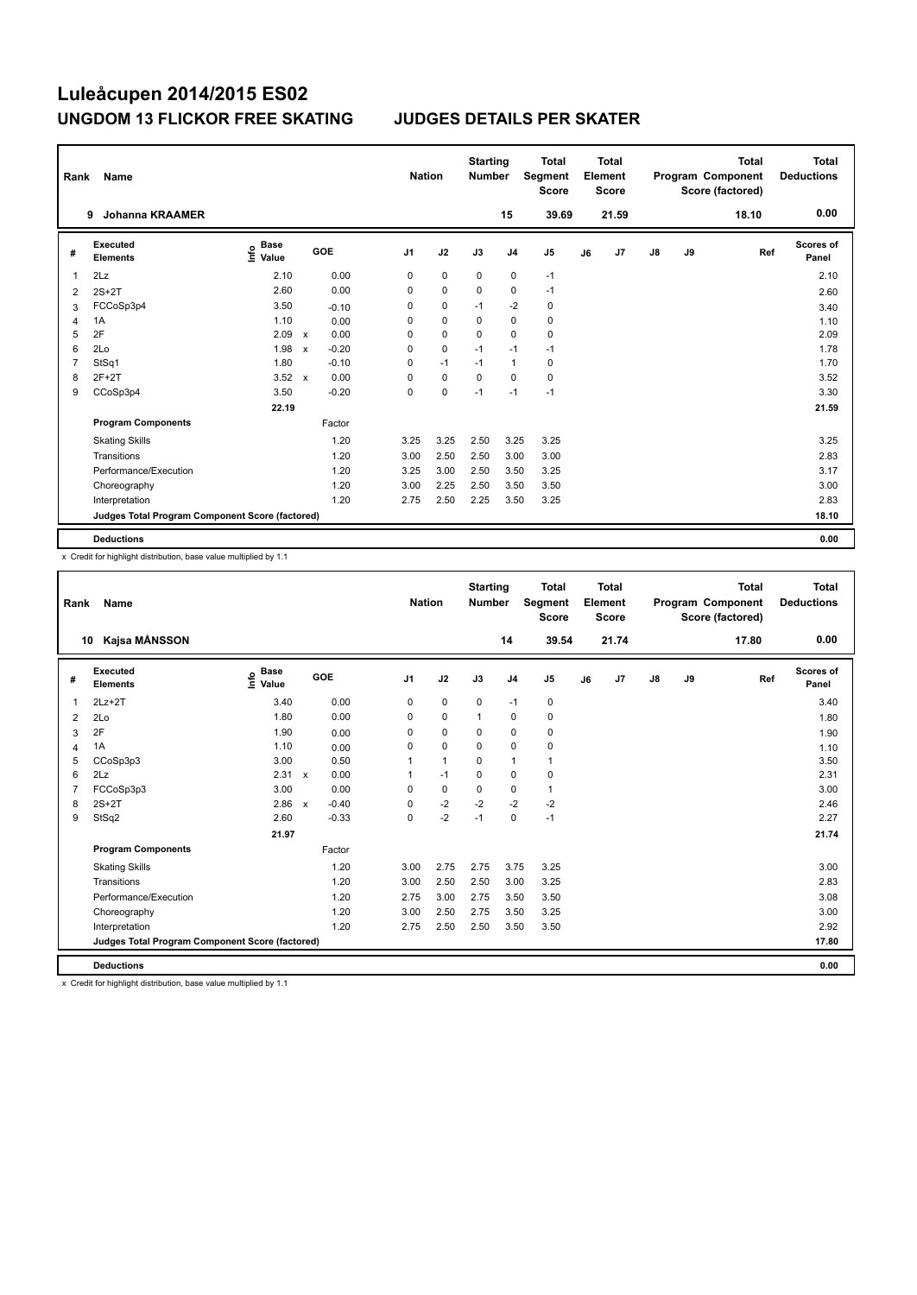| Rank           | Name                                            |                                  |                           |         |                | <b>Nation</b> | <b>Starting</b><br><b>Number</b> |                | <b>Total</b><br>Segment<br><b>Score</b> |    | <b>Total</b><br>Element<br><b>Score</b> |    |    | <b>Total</b><br>Program Component<br>Score (factored) | <b>Total</b><br><b>Deductions</b> |
|----------------|-------------------------------------------------|----------------------------------|---------------------------|---------|----------------|---------------|----------------------------------|----------------|-----------------------------------------|----|-----------------------------------------|----|----|-------------------------------------------------------|-----------------------------------|
|                | <b>Johanna KRAAMER</b><br>9                     |                                  |                           |         |                |               |                                  | 15             | 39.69                                   |    | 21.59                                   |    |    | 18.10                                                 | 0.00                              |
| #              | Executed<br><b>Elements</b>                     | <b>Base</b><br>e Base<br>⊆ Value |                           | GOE     | J <sub>1</sub> | J2            | J3                               | J <sub>4</sub> | J5                                      | J6 | J7                                      | J8 | J9 | Ref                                                   | Scores of<br>Panel                |
| 1              | 2Lz                                             | 2.10                             |                           | 0.00    | 0              | $\mathbf 0$   | 0                                | $\pmb{0}$      | $-1$                                    |    |                                         |    |    |                                                       | 2.10                              |
| 2              | $2S+2T$                                         | 2.60                             |                           | 0.00    | 0              | $\mathbf 0$   | $\Omega$                         | 0              | $-1$                                    |    |                                         |    |    |                                                       | 2.60                              |
| 3              | FCCoSp3p4                                       | 3.50                             |                           | $-0.10$ | 0              | $\mathbf 0$   | $-1$                             | $-2$           | $\pmb{0}$                               |    |                                         |    |    |                                                       | 3.40                              |
| $\overline{4}$ | 1A                                              | 1.10                             |                           | 0.00    | 0              | $\mathbf 0$   | $\mathbf 0$                      | $\mathbf 0$    | $\mathbf 0$                             |    |                                         |    |    |                                                       | 1.10                              |
| 5              | 2F                                              | 2.09                             | $\mathsf{x}$              | 0.00    | 0              | $\mathbf 0$   | 0                                | $\mathbf 0$    | 0                                       |    |                                         |    |    |                                                       | 2.09                              |
| 6              | 2Lo                                             | 1.98                             | $\boldsymbol{\mathsf{x}}$ | $-0.20$ | 0              | $\mathbf 0$   | $-1$                             | $-1$           | $-1$                                    |    |                                         |    |    |                                                       | 1.78                              |
| $\overline{7}$ | StSq1                                           | 1.80                             |                           | $-0.10$ | 0              | $-1$          | $-1$                             | $\mathbf{1}$   | $\pmb{0}$                               |    |                                         |    |    |                                                       | 1.70                              |
| 8              | $2F+2T$                                         | 3.52                             | $\mathsf{x}$              | 0.00    | 0              | $\mathbf 0$   | $\Omega$                         | $\Omega$       | 0                                       |    |                                         |    |    |                                                       | 3.52                              |
| 9              | CCoSp3p4                                        | 3.50                             |                           | $-0.20$ | 0              | 0             | $-1$                             | $-1$           | $-1$                                    |    |                                         |    |    |                                                       | 3.30                              |
|                |                                                 | 22.19                            |                           |         |                |               |                                  |                |                                         |    |                                         |    |    |                                                       | 21.59                             |
|                | <b>Program Components</b>                       |                                  |                           | Factor  |                |               |                                  |                |                                         |    |                                         |    |    |                                                       |                                   |
|                | <b>Skating Skills</b>                           |                                  |                           | 1.20    | 3.25           | 3.25          | 2.50                             | 3.25           | 3.25                                    |    |                                         |    |    |                                                       | 3.25                              |
|                | Transitions                                     |                                  |                           | 1.20    | 3.00           | 2.50          | 2.50                             | 3.00           | 3.00                                    |    |                                         |    |    |                                                       | 2.83                              |
|                | Performance/Execution                           |                                  |                           | 1.20    | 3.25           | 3.00          | 2.50                             | 3.50           | 3.25                                    |    |                                         |    |    |                                                       | 3.17                              |
|                | Choreography                                    |                                  |                           | 1.20    | 3.00           | 2.25          | 2.50                             | 3.50           | 3.50                                    |    |                                         |    |    |                                                       | 3.00                              |
|                | Interpretation                                  |                                  |                           | 1.20    | 2.75           | 2.50          | 2.25                             | 3.50           | 3.25                                    |    |                                         |    |    |                                                       | 2.83                              |
|                | Judges Total Program Component Score (factored) |                                  |                           |         |                |               |                                  |                |                                         |    |                                         |    |    |                                                       | 18.10                             |
|                | <b>Deductions</b>                               |                                  |                           |         |                |               |                                  |                |                                         |    |                                         |    |    |                                                       | 0.00                              |

x Credit for highlight distribution, base value multiplied by 1.1

| Rank           | Name                                            |                                  |                           |         | <b>Nation</b>  |              | <b>Starting</b><br><b>Number</b> |                | <b>Total</b><br>Segment<br><b>Score</b> |    | <b>Total</b><br>Element<br><b>Score</b> |               |    | <b>Total</b><br>Program Component<br>Score (factored) | <b>Total</b><br><b>Deductions</b> |
|----------------|-------------------------------------------------|----------------------------------|---------------------------|---------|----------------|--------------|----------------------------------|----------------|-----------------------------------------|----|-----------------------------------------|---------------|----|-------------------------------------------------------|-----------------------------------|
| 10             | Kajsa MÅNSSON                                   |                                  |                           |         |                |              |                                  | 14             | 39.54                                   |    | 21.74                                   |               |    | 17.80                                                 | 0.00                              |
| #              | Executed<br><b>Elements</b>                     | <b>Base</b><br>e Base<br>⊆ Value | GOE                       |         | J <sub>1</sub> | J2           | J3                               | J <sub>4</sub> | J <sub>5</sub>                          | J6 | J7                                      | $\mathsf{J}8$ | J9 | Ref                                                   | Scores of<br>Panel                |
| $\overline{1}$ | $2Lz+2T$                                        | 3.40                             |                           | 0.00    | 0              | $\pmb{0}$    | $\mathbf 0$                      | $-1$           | 0                                       |    |                                         |               |    |                                                       | 3.40                              |
| 2              | 2Lo                                             | 1.80                             |                           | 0.00    | 0              | $\pmb{0}$    | $\mathbf 1$                      | $\mathbf 0$    | 0                                       |    |                                         |               |    |                                                       | 1.80                              |
| 3              | 2F                                              | 1.90                             |                           | 0.00    | 0              | $\mathbf 0$  | 0                                | 0              | 0                                       |    |                                         |               |    |                                                       | 1.90                              |
| $\overline{4}$ | 1A                                              | 1.10                             |                           | 0.00    | 0              | $\mathbf 0$  | $\Omega$                         | $\mathbf 0$    | $\mathbf 0$                             |    |                                         |               |    |                                                       | 1.10                              |
| 5              | CCoSp3p3                                        | 3.00                             |                           | 0.50    |                | $\mathbf{1}$ | 0                                | 1              | 1                                       |    |                                         |               |    |                                                       | 3.50                              |
| 6              | 2Lz                                             | 2.31                             | $\boldsymbol{\mathsf{x}}$ | 0.00    |                | $-1$         | 0                                | $\mathbf 0$    | 0                                       |    |                                         |               |    |                                                       | 2.31                              |
| $\overline{7}$ | FCCoSp3p3                                       | 3.00                             |                           | 0.00    | 0              | $\pmb{0}$    | $\mathbf 0$                      | $\mathbf 0$    | 1                                       |    |                                         |               |    |                                                       | 3.00                              |
| 8              | $2S+2T$                                         | 2.86                             | $\mathbf{x}$              | $-0.40$ | $\Omega$       | $-2$         | $-2$                             | $-2$           | $-2$                                    |    |                                         |               |    |                                                       | 2.46                              |
| 9              | StSq2                                           | 2.60                             |                           | $-0.33$ | $\Omega$       | $-2$         | $-1$                             | $\mathbf 0$    | $-1$                                    |    |                                         |               |    |                                                       | 2.27                              |
|                |                                                 | 21.97                            |                           |         |                |              |                                  |                |                                         |    |                                         |               |    |                                                       | 21.74                             |
|                | <b>Program Components</b>                       |                                  |                           | Factor  |                |              |                                  |                |                                         |    |                                         |               |    |                                                       |                                   |
|                | <b>Skating Skills</b>                           |                                  |                           | 1.20    | 3.00           | 2.75         | 2.75                             | 3.75           | 3.25                                    |    |                                         |               |    |                                                       | 3.00                              |
|                | Transitions                                     |                                  |                           | 1.20    | 3.00           | 2.50         | 2.50                             | 3.00           | 3.25                                    |    |                                         |               |    |                                                       | 2.83                              |
|                | Performance/Execution                           |                                  |                           | 1.20    | 2.75           | 3.00         | 2.75                             | 3.50           | 3.50                                    |    |                                         |               |    |                                                       | 3.08                              |
|                | Choreography                                    |                                  |                           | 1.20    | 3.00           | 2.50         | 2.75                             | 3.50           | 3.25                                    |    |                                         |               |    |                                                       | 3.00                              |
|                | Interpretation                                  |                                  |                           | 1.20    | 2.75           | 2.50         | 2.50                             | 3.50           | 3.50                                    |    |                                         |               |    |                                                       | 2.92                              |
|                | Judges Total Program Component Score (factored) |                                  |                           |         |                |              |                                  |                |                                         |    |                                         |               |    |                                                       | 17.80                             |
|                | <b>Deductions</b>                               |                                  |                           |         |                |              |                                  |                |                                         |    |                                         |               |    |                                                       | 0.00                              |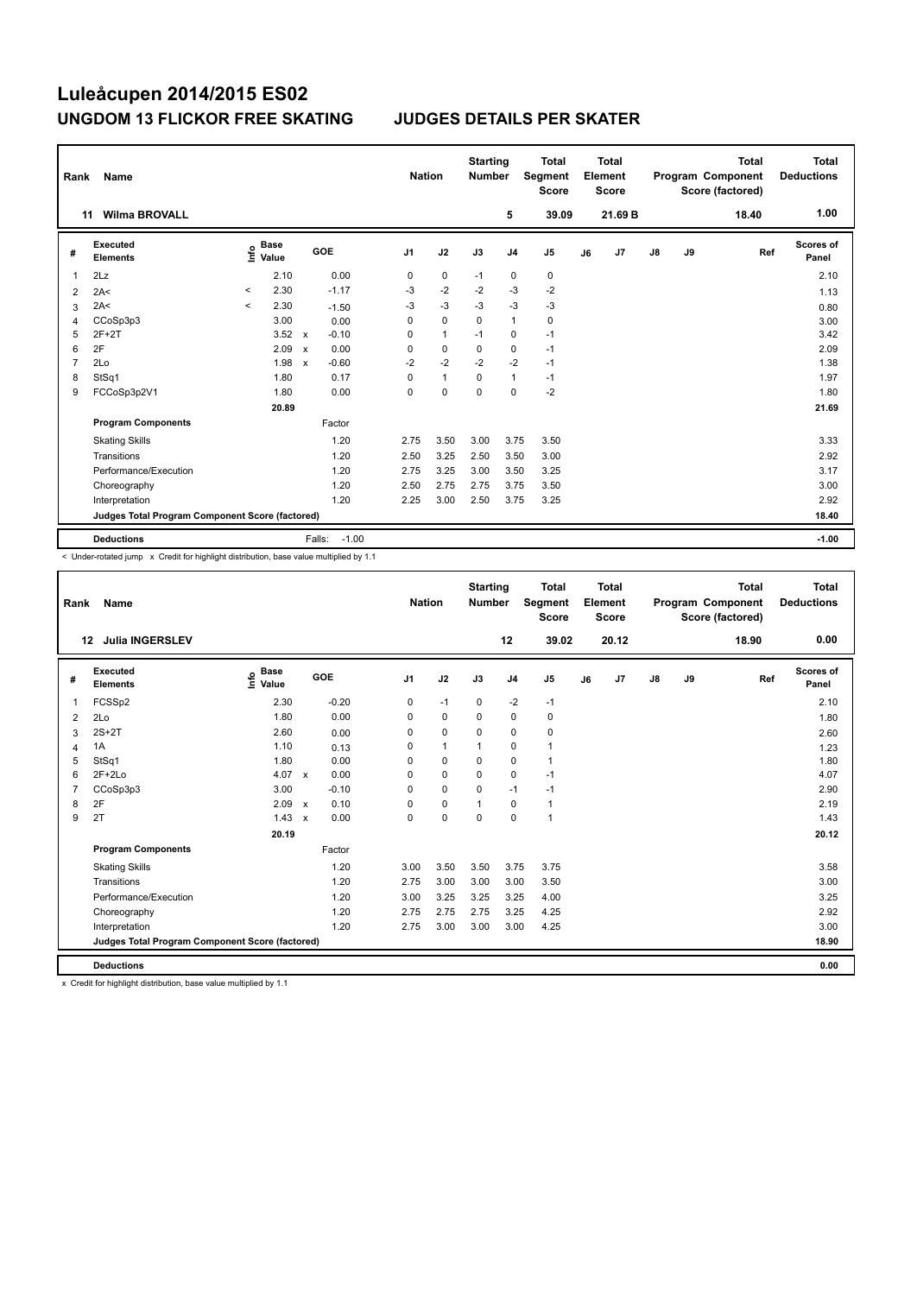| Rank | Name                                            |         |                                  |                           |                   | <b>Nation</b>  |              | <b>Starting</b><br><b>Number</b> |                | <b>Total</b><br>Segment<br><b>Score</b> |    | <b>Total</b><br>Element<br>Score |               |    | <b>Total</b><br>Program Component<br>Score (factored) | Total<br><b>Deductions</b> |
|------|-------------------------------------------------|---------|----------------------------------|---------------------------|-------------------|----------------|--------------|----------------------------------|----------------|-----------------------------------------|----|----------------------------------|---------------|----|-------------------------------------------------------|----------------------------|
| 11   | <b>Wilma BROVALL</b>                            |         |                                  |                           |                   |                |              |                                  | 5              | 39.09                                   |    | 21.69 B                          |               |    | 18.40                                                 | 1.00                       |
| #    | <b>Executed</b><br><b>Elements</b>              |         | <b>Base</b><br>e Base<br>⊆ Value |                           | GOE               | J <sub>1</sub> | J2           | J3                               | J <sub>4</sub> | J <sub>5</sub>                          | J6 | J7                               | $\mathsf{J}8$ | J9 | Ref                                                   | Scores of<br>Panel         |
| 1    | 2Lz                                             |         | 2.10                             |                           | 0.00              | 0              | $\pmb{0}$    | $-1$                             | $\mathbf 0$    | $\pmb{0}$                               |    |                                  |               |    |                                                       | 2.10                       |
| 2    | 2A<                                             | $\prec$ | 2.30                             |                           | $-1.17$           | $-3$           | $-2$         | $-2$                             | $-3$           | $-2$                                    |    |                                  |               |    |                                                       | 1.13                       |
| 3    | 2A<                                             | $\prec$ | 2.30                             |                           | $-1.50$           | $-3$           | $-3$         | $-3$                             | $-3$           | -3                                      |    |                                  |               |    |                                                       | 0.80                       |
| 4    | CCoSp3p3                                        |         | 3.00                             |                           | 0.00              | 0              | $\mathbf 0$  | $\mathbf 0$                      | $\overline{1}$ | $\mathbf 0$                             |    |                                  |               |    |                                                       | 3.00                       |
| 5    | $2F+2T$                                         |         | 3.52                             | X                         | $-0.10$           | 0              | $\mathbf{1}$ | $-1$                             | $\mathbf 0$    | $-1$                                    |    |                                  |               |    |                                                       | 3.42                       |
| 6    | 2F                                              |         | 2.09                             | $\boldsymbol{\mathsf{x}}$ | 0.00              | 0              | $\mathbf 0$  | $\mathbf 0$                      | $\mathbf 0$    | $-1$                                    |    |                                  |               |    |                                                       | 2.09                       |
| 7    | 2Lo                                             |         | 1.98                             | $\boldsymbol{\mathsf{x}}$ | $-0.60$           | $-2$           | $-2$         | $-2$                             | $-2$           | $-1$                                    |    |                                  |               |    |                                                       | 1.38                       |
| 8    | StSq1                                           |         | 1.80                             |                           | 0.17              | 0              | $\mathbf{1}$ | 0                                | $\mathbf{1}$   | $-1$                                    |    |                                  |               |    |                                                       | 1.97                       |
| 9    | FCCoSp3p2V1                                     |         | 1.80                             |                           | 0.00              | 0              | $\mathbf 0$  | 0                                | $\mathbf 0$    | $-2$                                    |    |                                  |               |    |                                                       | 1.80                       |
|      |                                                 |         | 20.89                            |                           |                   |                |              |                                  |                |                                         |    |                                  |               |    |                                                       | 21.69                      |
|      | <b>Program Components</b>                       |         |                                  |                           | Factor            |                |              |                                  |                |                                         |    |                                  |               |    |                                                       |                            |
|      | <b>Skating Skills</b>                           |         |                                  |                           | 1.20              | 2.75           | 3.50         | 3.00                             | 3.75           | 3.50                                    |    |                                  |               |    |                                                       | 3.33                       |
|      | Transitions                                     |         |                                  |                           | 1.20              | 2.50           | 3.25         | 2.50                             | 3.50           | 3.00                                    |    |                                  |               |    |                                                       | 2.92                       |
|      | Performance/Execution                           |         |                                  |                           | 1.20              | 2.75           | 3.25         | 3.00                             | 3.50           | 3.25                                    |    |                                  |               |    |                                                       | 3.17                       |
|      | Choreography                                    |         |                                  |                           | 1.20              | 2.50           | 2.75         | 2.75                             | 3.75           | 3.50                                    |    |                                  |               |    |                                                       | 3.00                       |
|      | Interpretation                                  |         |                                  |                           | 1.20              | 2.25           | 3.00         | 2.50                             | 3.75           | 3.25                                    |    |                                  |               |    |                                                       | 2.92                       |
|      | Judges Total Program Component Score (factored) |         |                                  |                           |                   |                |              |                                  |                |                                         |    |                                  |               |    |                                                       | 18.40                      |
|      | <b>Deductions</b>                               |         |                                  |                           | $-1.00$<br>Falls: |                |              |                                  |                |                                         |    |                                  |               |    |                                                       | $-1.00$                    |

< Under-rotated jump x Credit for highlight distribution, base value multiplied by 1.1

| Rank                    | <b>Name</b>                                     |                                    |                           |         | <b>Nation</b>  |              | <b>Starting</b><br><b>Number</b> |                | <b>Total</b><br>Segment<br><b>Score</b> |    | <b>Total</b><br>Element<br><b>Score</b> |    |    | <b>Total</b><br>Program Component<br>Score (factored) | <b>Total</b><br><b>Deductions</b> |
|-------------------------|-------------------------------------------------|------------------------------------|---------------------------|---------|----------------|--------------|----------------------------------|----------------|-----------------------------------------|----|-----------------------------------------|----|----|-------------------------------------------------------|-----------------------------------|
|                         | <b>Julia INGERSLEV</b><br>12                    |                                    |                           |         |                |              |                                  | 12             | 39.02                                   |    | 20.12                                   |    |    | 18.90                                                 | 0.00                              |
| #                       | Executed<br><b>Elements</b>                     | <b>Base</b><br>$\frac{6}{5}$ Value |                           | GOE     | J <sub>1</sub> | J2           | J3                               | J <sub>4</sub> | J <sub>5</sub>                          | J6 | J7                                      | J8 | J9 | Ref                                                   | <b>Scores of</b><br>Panel         |
| $\mathbf{1}$            | FCSSp2                                          | 2.30                               |                           | $-0.20$ | 0              | $-1$         | $\mathbf 0$                      | $-2$           | $-1$                                    |    |                                         |    |    |                                                       | 2.10                              |
| $\overline{\mathbf{c}}$ | 2Lo                                             | 1.80                               |                           | 0.00    | 0              | $\mathbf 0$  | 0                                | $\mathbf 0$    | $\mathbf 0$                             |    |                                         |    |    |                                                       | 1.80                              |
| 3                       | $2S+2T$                                         | 2.60                               |                           | 0.00    | 0              | $\mathbf 0$  | 0                                | $\mathbf 0$    | 0                                       |    |                                         |    |    |                                                       | 2.60                              |
| $\overline{4}$          | 1A                                              | 1.10                               |                           | 0.13    | 0              | $\mathbf{1}$ | 1                                | $\mathbf 0$    | 1                                       |    |                                         |    |    |                                                       | 1.23                              |
| 5                       | StSq1                                           | 1.80                               |                           | 0.00    | $\Omega$       | $\mathbf 0$  | $\Omega$                         | $\mathbf 0$    | 1                                       |    |                                         |    |    |                                                       | 1.80                              |
| 6                       | $2F+2Lo$                                        | 4.07                               | $\mathbf{x}$              | 0.00    | 0              | $\mathbf 0$  | $\Omega$                         | $\mathbf 0$    | $-1$                                    |    |                                         |    |    |                                                       | 4.07                              |
| $\overline{7}$          | CCoSp3p3                                        | 3.00                               |                           | $-0.10$ | $\mathbf 0$    | $\mathbf 0$  | $\Omega$                         | $-1$           | $-1$                                    |    |                                         |    |    |                                                       | 2.90                              |
| 8                       | 2F                                              | 2.09                               | $\mathsf{x}$              | 0.10    | $\Omega$       | $\mathbf 0$  | $\mathbf{1}$                     | $\mathbf 0$    | 1                                       |    |                                         |    |    |                                                       | 2.19                              |
| 9                       | 2T                                              | 1.43                               | $\boldsymbol{\mathsf{x}}$ | 0.00    | $\Omega$       | $\mathbf 0$  | $\mathbf 0$                      | $\mathbf 0$    | $\mathbf{1}$                            |    |                                         |    |    |                                                       | 1.43                              |
|                         |                                                 | 20.19                              |                           |         |                |              |                                  |                |                                         |    |                                         |    |    |                                                       | 20.12                             |
|                         | <b>Program Components</b>                       |                                    |                           | Factor  |                |              |                                  |                |                                         |    |                                         |    |    |                                                       |                                   |
|                         | <b>Skating Skills</b>                           |                                    |                           | 1.20    | 3.00           | 3.50         | 3.50                             | 3.75           | 3.75                                    |    |                                         |    |    |                                                       | 3.58                              |
|                         | Transitions                                     |                                    |                           | 1.20    | 2.75           | 3.00         | 3.00                             | 3.00           | 3.50                                    |    |                                         |    |    |                                                       | 3.00                              |
|                         | Performance/Execution                           |                                    |                           | 1.20    | 3.00           | 3.25         | 3.25                             | 3.25           | 4.00                                    |    |                                         |    |    |                                                       | 3.25                              |
|                         | Choreography                                    |                                    |                           | 1.20    | 2.75           | 2.75         | 2.75                             | 3.25           | 4.25                                    |    |                                         |    |    |                                                       | 2.92                              |
|                         | Interpretation                                  |                                    |                           | 1.20    | 2.75           | 3.00         | 3.00                             | 3.00           | 4.25                                    |    |                                         |    |    |                                                       | 3.00                              |
|                         | Judges Total Program Component Score (factored) |                                    |                           |         |                |              |                                  |                |                                         |    |                                         |    |    |                                                       | 18.90                             |
|                         | <b>Deductions</b>                               |                                    |                           |         |                |              |                                  |                |                                         |    |                                         |    |    |                                                       | 0.00                              |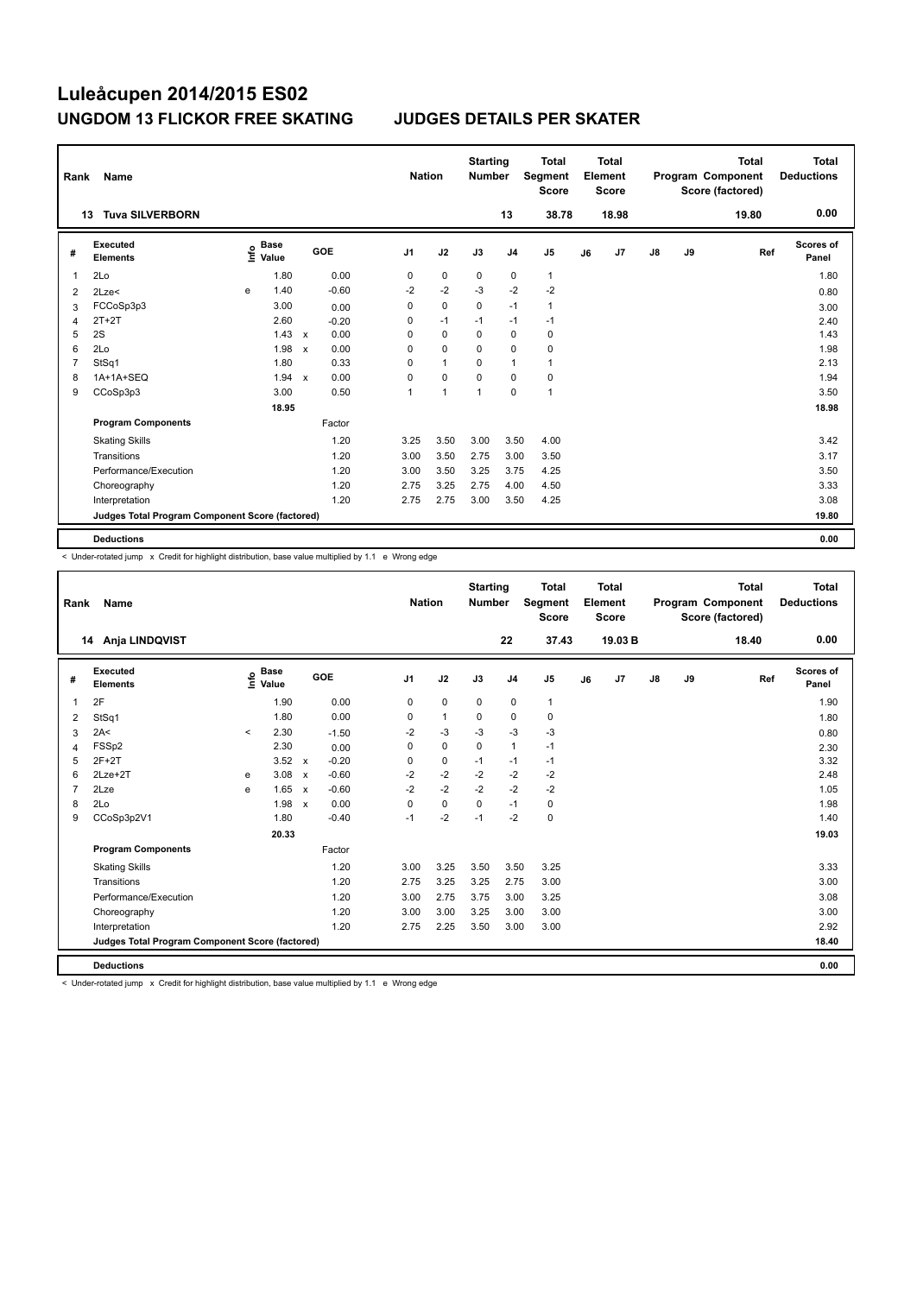| Rank           | Name                                            |      |                      |                           |         |                | <b>Nation</b> |                | <b>Starting</b><br><b>Number</b> |                | <b>Total</b><br>Segment<br><b>Score</b> |    | <b>Total</b><br>Element<br><b>Score</b> |               |    | <b>Total</b><br>Program Component<br>Score (factored) | <b>Total</b><br><b>Deductions</b> |
|----------------|-------------------------------------------------|------|----------------------|---------------------------|---------|----------------|---------------|----------------|----------------------------------|----------------|-----------------------------------------|----|-----------------------------------------|---------------|----|-------------------------------------------------------|-----------------------------------|
|                | <b>Tuva SILVERBORN</b><br>13                    |      |                      |                           |         |                |               |                |                                  | 13             | 38.78                                   |    | 18.98                                   |               |    | 19.80                                                 | 0.00                              |
| #              | <b>Executed</b><br><b>Elements</b>              | Info | <b>Base</b><br>Value |                           | GOE     | J <sub>1</sub> |               | J2             | J3                               | J <sub>4</sub> | J5                                      | J6 | J7                                      | $\mathsf{J}8$ | J9 | Ref                                                   | <b>Scores of</b><br>Panel         |
| $\mathbf 1$    | 2Lo                                             |      | 1.80                 |                           | 0.00    |                | 0             | $\mathbf 0$    | 0                                | 0              | $\mathbf{1}$                            |    |                                         |               |    |                                                       | 1.80                              |
| 2              | 2Lze<                                           | e    | 1.40                 |                           | $-0.60$ | $-2$           |               | $-2$           | $-3$                             | $-2$           | $-2$                                    |    |                                         |               |    |                                                       | 0.80                              |
| 3              | FCCoSp3p3                                       |      | 3.00                 |                           | 0.00    |                | 0             | $\mathbf 0$    | 0                                | $-1$           | $\mathbf{1}$                            |    |                                         |               |    |                                                       | 3.00                              |
| $\overline{4}$ | $2T+2T$                                         |      | 2.60                 |                           | $-0.20$ |                | 0             | $-1$           | $-1$                             | $-1$           | $-1$                                    |    |                                         |               |    |                                                       | 2.40                              |
| 5              | 2S                                              |      | 1.43                 | $\mathsf{x}$              | 0.00    |                | 0             | $\mathbf 0$    | $\mathbf 0$                      | $\mathbf 0$    | $\pmb{0}$                               |    |                                         |               |    |                                                       | 1.43                              |
| 6              | 2Lo                                             |      | 1.98                 | $\boldsymbol{\mathsf{x}}$ | 0.00    | 0              |               | $\mathbf 0$    | $\Omega$                         | $\mathbf 0$    | $\mathbf 0$                             |    |                                         |               |    |                                                       | 1.98                              |
| $\overline{7}$ | StSq1                                           |      | 1.80                 |                           | 0.33    | 0              |               | $\mathbf{1}$   | $\mathbf 0$                      | $\mathbf{1}$   | $\mathbf{1}$                            |    |                                         |               |    |                                                       | 2.13                              |
| 8              | 1A+1A+SEQ                                       |      | 1.94                 | $\mathsf{x}$              | 0.00    | 0              |               | $\mathbf 0$    | $\mathbf 0$                      | $\mathbf 0$    | $\pmb{0}$                               |    |                                         |               |    |                                                       | 1.94                              |
| 9              | CCoSp3p3                                        |      | 3.00                 |                           | 0.50    | 1              |               | $\overline{1}$ | 1                                | $\mathbf 0$    | $\mathbf{1}$                            |    |                                         |               |    |                                                       | 3.50                              |
|                |                                                 |      | 18.95                |                           |         |                |               |                |                                  |                |                                         |    |                                         |               |    |                                                       | 18.98                             |
|                | <b>Program Components</b>                       |      |                      |                           | Factor  |                |               |                |                                  |                |                                         |    |                                         |               |    |                                                       |                                   |
|                | <b>Skating Skills</b>                           |      |                      |                           | 1.20    |                | 3.25          | 3.50           | 3.00                             | 3.50           | 4.00                                    |    |                                         |               |    |                                                       | 3.42                              |
|                | Transitions                                     |      |                      |                           | 1.20    |                | 3.00          | 3.50           | 2.75                             | 3.00           | 3.50                                    |    |                                         |               |    |                                                       | 3.17                              |
|                | Performance/Execution                           |      |                      |                           | 1.20    |                | 3.00          | 3.50           | 3.25                             | 3.75           | 4.25                                    |    |                                         |               |    |                                                       | 3.50                              |
|                | Choreography                                    |      |                      |                           | 1.20    |                | 2.75          | 3.25           | 2.75                             | 4.00           | 4.50                                    |    |                                         |               |    |                                                       | 3.33                              |
|                | Interpretation                                  |      |                      |                           | 1.20    |                | 2.75          | 2.75           | 3.00                             | 3.50           | 4.25                                    |    |                                         |               |    |                                                       | 3.08                              |
|                | Judges Total Program Component Score (factored) |      |                      |                           |         |                |               |                |                                  |                |                                         |    |                                         |               |    |                                                       | 19.80                             |
|                | <b>Deductions</b>                               |      |                      |                           |         |                |               |                |                                  |                |                                         |    |                                         |               |    |                                                       | 0.00                              |

< Under-rotated jump x Credit for highlight distribution, base value multiplied by 1.1 e Wrong edge

| Rank           | <b>Name</b>                                     |         |                                  |                           |         | <b>Nation</b>  |              | <b>Starting</b><br><b>Number</b> |                | <b>Total</b><br>Segment<br><b>Score</b> |    | <b>Total</b><br>Element<br><b>Score</b> |               |    | <b>Total</b><br>Program Component<br>Score (factored) | Total<br><b>Deductions</b> |
|----------------|-------------------------------------------------|---------|----------------------------------|---------------------------|---------|----------------|--------------|----------------------------------|----------------|-----------------------------------------|----|-----------------------------------------|---------------|----|-------------------------------------------------------|----------------------------|
|                | 14 Anja LINDQVIST                               |         |                                  |                           |         |                |              |                                  | 22             | 37.43                                   |    | 19.03B                                  |               |    | 18.40                                                 | 0.00                       |
| #              | Executed<br><b>Elements</b>                     |         | <b>Base</b><br>e Base<br>E Value |                           | GOE     | J <sub>1</sub> | J2           | J3                               | J <sub>4</sub> | J5                                      | J6 | J7                                      | $\mathsf{J}8$ | J9 | Ref                                                   | <b>Scores of</b><br>Panel  |
| 1              | 2F                                              |         | 1.90                             |                           | 0.00    | 0              | $\mathbf 0$  | $\mathbf 0$                      | $\mathbf 0$    | $\mathbf{1}$                            |    |                                         |               |    |                                                       | 1.90                       |
| 2              | StSq1                                           |         | 1.80                             |                           | 0.00    | 0              | $\mathbf{1}$ | 0                                | $\mathbf 0$    | 0                                       |    |                                         |               |    |                                                       | 1.80                       |
| 3              | 2A<                                             | $\prec$ | 2.30                             |                           | $-1.50$ | $-2$           | $-3$         | $-3$                             | $-3$           | $-3$                                    |    |                                         |               |    |                                                       | 0.80                       |
| $\overline{4}$ | FSSp2                                           |         | 2.30                             |                           | 0.00    | $\Omega$       | $\mathbf 0$  | $\Omega$                         | $\mathbf{1}$   | $-1$                                    |    |                                         |               |    |                                                       | 2.30                       |
| 5              | $2F+2T$                                         |         | 3.52                             | $\boldsymbol{\mathsf{x}}$ | $-0.20$ | 0              | 0            | $-1$                             | $-1$           | $-1$                                    |    |                                         |               |    |                                                       | 3.32                       |
| 6              | $2$ Lze $+2$ T                                  | e       | 3.08                             | $\mathsf{x}$              | $-0.60$ | $-2$           | $-2$         | $-2$                             | $-2$           | $-2$                                    |    |                                         |               |    |                                                       | 2.48                       |
| 7              | 2Lze                                            | e       | 1.65                             | $\mathsf{x}$              | $-0.60$ | $-2$           | $-2$         | $-2$                             | $-2$           | $-2$                                    |    |                                         |               |    |                                                       | 1.05                       |
| 8              | 2Lo                                             |         | 1.98                             | $\mathbf{x}$              | 0.00    | $\Omega$       | $\mathbf 0$  | $\Omega$                         | $-1$           | 0                                       |    |                                         |               |    |                                                       | 1.98                       |
| 9              | CCoSp3p2V1                                      |         | 1.80                             |                           | $-0.40$ | $-1$           | $-2$         | $-1$                             | $-2$           | 0                                       |    |                                         |               |    |                                                       | 1.40                       |
|                |                                                 |         | 20.33                            |                           |         |                |              |                                  |                |                                         |    |                                         |               |    |                                                       | 19.03                      |
|                | <b>Program Components</b>                       |         |                                  |                           | Factor  |                |              |                                  |                |                                         |    |                                         |               |    |                                                       |                            |
|                | <b>Skating Skills</b>                           |         |                                  |                           | 1.20    | 3.00           | 3.25         | 3.50                             | 3.50           | 3.25                                    |    |                                         |               |    |                                                       | 3.33                       |
|                | Transitions                                     |         |                                  |                           | 1.20    | 2.75           | 3.25         | 3.25                             | 2.75           | 3.00                                    |    |                                         |               |    |                                                       | 3.00                       |
|                | Performance/Execution                           |         |                                  |                           | 1.20    | 3.00           | 2.75         | 3.75                             | 3.00           | 3.25                                    |    |                                         |               |    |                                                       | 3.08                       |
|                | Choreography                                    |         |                                  |                           | 1.20    | 3.00           | 3.00         | 3.25                             | 3.00           | 3.00                                    |    |                                         |               |    |                                                       | 3.00                       |
|                | Interpretation                                  |         |                                  |                           | 1.20    | 2.75           | 2.25         | 3.50                             | 3.00           | 3.00                                    |    |                                         |               |    |                                                       | 2.92                       |
|                | Judges Total Program Component Score (factored) |         |                                  |                           |         |                |              |                                  |                |                                         |    |                                         |               |    |                                                       | 18.40                      |
|                | <b>Deductions</b>                               |         |                                  |                           |         |                |              |                                  |                |                                         |    |                                         |               |    |                                                       | 0.00                       |

< Under-rotated jump x Credit for highlight distribution, base value multiplied by 1.1 e Wrong edge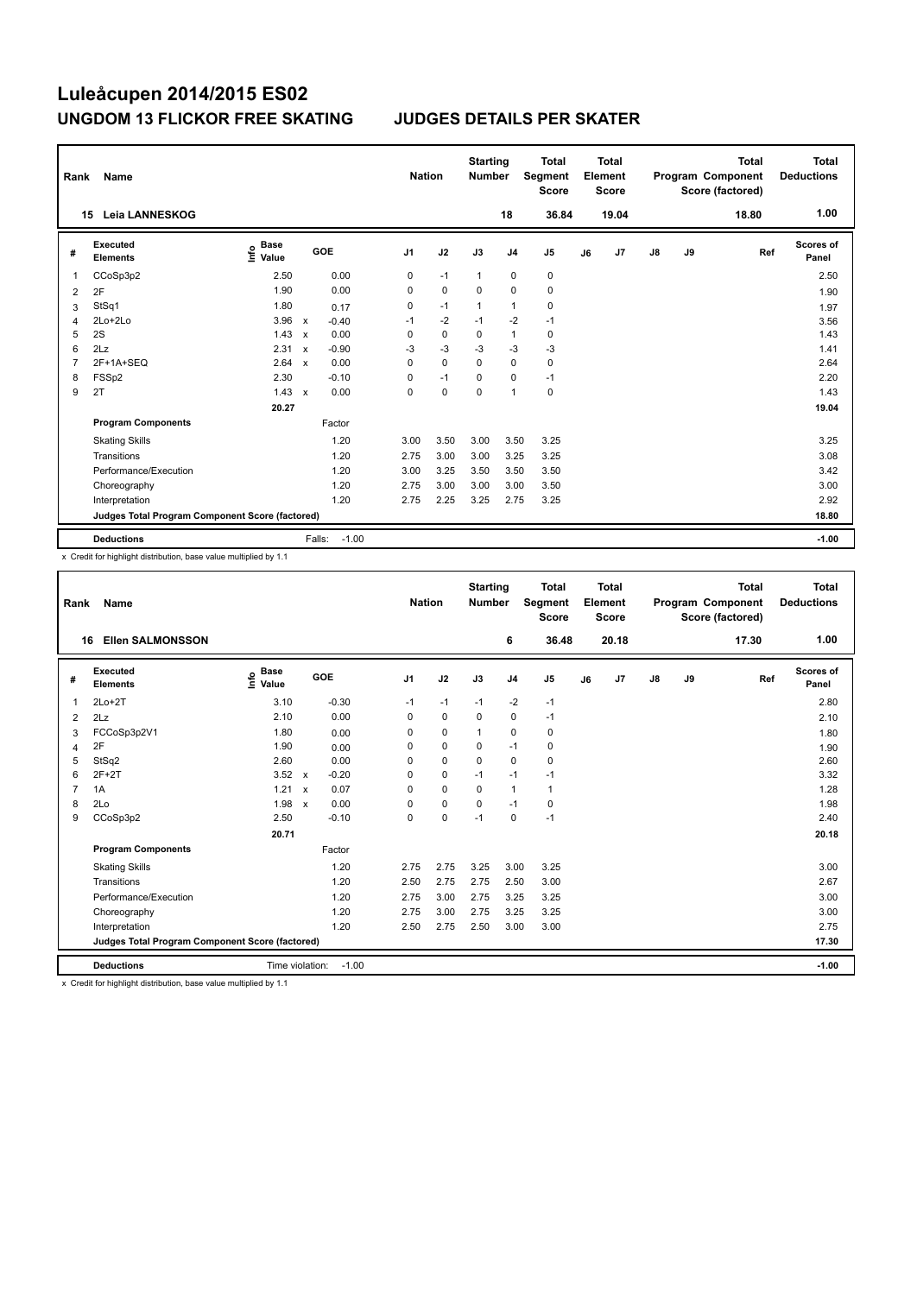| Rank           | Name                                            |                                  |                           |                   | <b>Nation</b>  |             | <b>Starting</b><br><b>Number</b> |                | <b>Total</b><br>Segment<br><b>Score</b> |    | <b>Total</b><br>Element<br>Score |               |    | <b>Total</b><br>Program Component<br>Score (factored) | Total<br><b>Deductions</b> |
|----------------|-------------------------------------------------|----------------------------------|---------------------------|-------------------|----------------|-------------|----------------------------------|----------------|-----------------------------------------|----|----------------------------------|---------------|----|-------------------------------------------------------|----------------------------|
|                | Leia LANNESKOG<br>15                            |                                  |                           |                   |                |             |                                  | 18             | 36.84                                   |    | 19.04                            |               |    | 18.80                                                 | 1.00                       |
| #              | Executed<br><b>Elements</b>                     | <b>Base</b><br>e Base<br>⊆ Value |                           | <b>GOE</b>        | J <sub>1</sub> | J2          | J3                               | J <sub>4</sub> | J <sub>5</sub>                          | J6 | J7                               | $\mathsf{J}8$ | J9 | Ref                                                   | Scores of<br>Panel         |
| 1              | CCoSp3p2                                        | 2.50                             |                           | 0.00              | 0              | $-1$        | $\mathbf{1}$                     | 0              | 0                                       |    |                                  |               |    |                                                       | 2.50                       |
| 2              | 2F                                              | 1.90                             |                           | 0.00              | 0              | $\mathbf 0$ | $\mathbf 0$                      | $\mathbf 0$    | $\mathbf 0$                             |    |                                  |               |    |                                                       | 1.90                       |
| 3              | StSq1                                           | 1.80                             |                           | 0.17              | 0              | $-1$        | $\mathbf{1}$                     | $\mathbf{1}$   | $\pmb{0}$                               |    |                                  |               |    |                                                       | 1.97                       |
| $\overline{4}$ | 2Lo+2Lo                                         | 3.96                             | $\mathsf{x}$              | $-0.40$           | $-1$           | $-2$        | $-1$                             | $-2$           | $-1$                                    |    |                                  |               |    |                                                       | 3.56                       |
| 5              | 2S                                              | 1.43                             | $\mathbf x$               | 0.00              | 0              | 0           | $\Omega$                         | $\mathbf{1}$   | 0                                       |    |                                  |               |    |                                                       | 1.43                       |
| 6              | 2Lz                                             | 2.31                             | $\boldsymbol{\mathsf{x}}$ | $-0.90$           | $-3$           | $-3$        | $-3$                             | -3             | $-3$                                    |    |                                  |               |    |                                                       | 1.41                       |
| $\overline{7}$ | 2F+1A+SEQ                                       | 2.64                             | $\mathbf x$               | 0.00              | 0              | $\Omega$    | $\Omega$                         | $\mathbf 0$    | $\mathbf 0$                             |    |                                  |               |    |                                                       | 2.64                       |
| 8              | FSSp2                                           | 2.30                             |                           | $-0.10$           | 0              | $-1$        | 0                                | $\Omega$       | $-1$                                    |    |                                  |               |    |                                                       | 2.20                       |
| 9              | 2T                                              | 1.43                             | $\mathbf x$               | 0.00              | 0              | $\mathbf 0$ | 0                                | $\overline{1}$ | $\pmb{0}$                               |    |                                  |               |    |                                                       | 1.43                       |
|                |                                                 | 20.27                            |                           |                   |                |             |                                  |                |                                         |    |                                  |               |    |                                                       | 19.04                      |
|                | <b>Program Components</b>                       |                                  |                           | Factor            |                |             |                                  |                |                                         |    |                                  |               |    |                                                       |                            |
|                | <b>Skating Skills</b>                           |                                  |                           | 1.20              | 3.00           | 3.50        | 3.00                             | 3.50           | 3.25                                    |    |                                  |               |    |                                                       | 3.25                       |
|                | Transitions                                     |                                  |                           | 1.20              | 2.75           | 3.00        | 3.00                             | 3.25           | 3.25                                    |    |                                  |               |    |                                                       | 3.08                       |
|                | Performance/Execution                           |                                  |                           | 1.20              | 3.00           | 3.25        | 3.50                             | 3.50           | 3.50                                    |    |                                  |               |    |                                                       | 3.42                       |
|                | Choreography                                    |                                  |                           | 1.20              | 2.75           | 3.00        | 3.00                             | 3.00           | 3.50                                    |    |                                  |               |    |                                                       | 3.00                       |
|                | Interpretation                                  |                                  |                           | 1.20              | 2.75           | 2.25        | 3.25                             | 2.75           | 3.25                                    |    |                                  |               |    |                                                       | 2.92                       |
|                | Judges Total Program Component Score (factored) |                                  |                           |                   |                |             |                                  |                |                                         |    |                                  |               |    |                                                       | 18.80                      |
|                | <b>Deductions</b>                               |                                  |                           | $-1.00$<br>Falls: |                |             |                                  |                |                                         |    |                                  |               |    |                                                       | $-1.00$                    |

x Credit for highlight distribution, base value multiplied by 1.1

| Rank           | <b>Name</b>                                     |                                  |                           |         | <b>Nation</b>  |             | <b>Starting</b><br><b>Number</b> |                | <b>Total</b><br><b>Segment</b><br><b>Score</b> |    | Total<br>Element<br><b>Score</b> |    |    | <b>Total</b><br>Program Component<br>Score (factored) | <b>Total</b><br><b>Deductions</b> |
|----------------|-------------------------------------------------|----------------------------------|---------------------------|---------|----------------|-------------|----------------------------------|----------------|------------------------------------------------|----|----------------------------------|----|----|-------------------------------------------------------|-----------------------------------|
|                | <b>Ellen SALMONSSON</b><br>16                   |                                  |                           |         |                |             |                                  | 6              | 36.48                                          |    | 20.18                            |    |    | 17.30                                                 | 1.00                              |
| #              | Executed<br><b>Elements</b>                     | <b>Base</b><br>e Base<br>⊆ Value |                           | GOE     | J <sub>1</sub> | J2          | J3                               | J <sub>4</sub> | J <sub>5</sub>                                 | J6 | J7                               | J8 | J9 | Ref                                                   | Scores of<br>Panel                |
| $\mathbf{1}$   | $2Lo+2T$                                        | 3.10                             |                           | $-0.30$ | $-1$           | $-1$        | $-1$                             | $-2$           | $-1$                                           |    |                                  |    |    |                                                       | 2.80                              |
| 2              | 2Lz                                             | 2.10                             |                           | 0.00    | 0              | $\mathbf 0$ | 0                                | $\mathbf 0$    | $-1$                                           |    |                                  |    |    |                                                       | 2.10                              |
| 3              | FCCoSp3p2V1                                     | 1.80                             |                           | 0.00    | $\Omega$       | $\mathbf 0$ | $\mathbf{1}$                     | $\mathbf 0$    | 0                                              |    |                                  |    |    |                                                       | 1.80                              |
| 4              | 2F                                              | 1.90                             |                           | 0.00    | 0              | $\mathbf 0$ | $\Omega$                         | $-1$           | $\mathbf 0$                                    |    |                                  |    |    |                                                       | 1.90                              |
| 5              | StSq2                                           | 2.60                             |                           | 0.00    | 0              | $\mathbf 0$ | 0                                | $\mathbf 0$    | 0                                              |    |                                  |    |    |                                                       | 2.60                              |
| 6              | $2F+2T$                                         | 3.52                             | $\mathsf{x}$              | $-0.20$ | 0              | $\mathbf 0$ | $-1$                             | $-1$           | $-1$                                           |    |                                  |    |    |                                                       | 3.32                              |
| $\overline{7}$ | 1A                                              | 1.21                             | $\boldsymbol{\mathsf{x}}$ | 0.07    | 0              | $\mathbf 0$ | $\mathbf 0$                      | $\mathbf{1}$   | 1                                              |    |                                  |    |    |                                                       | 1.28                              |
| 8              | 2Lo                                             | 1.98                             | $\boldsymbol{\mathsf{x}}$ | 0.00    | $\Omega$       | $\mathbf 0$ | 0                                | $-1$           | $\mathbf 0$                                    |    |                                  |    |    |                                                       | 1.98                              |
| 9              | CCoSp3p2                                        | 2.50                             |                           | $-0.10$ | 0              | 0           | $-1$                             | 0              | $-1$                                           |    |                                  |    |    |                                                       | 2.40                              |
|                |                                                 | 20.71                            |                           |         |                |             |                                  |                |                                                |    |                                  |    |    |                                                       | 20.18                             |
|                | <b>Program Components</b>                       |                                  |                           | Factor  |                |             |                                  |                |                                                |    |                                  |    |    |                                                       |                                   |
|                | <b>Skating Skills</b>                           |                                  |                           | 1.20    | 2.75           | 2.75        | 3.25                             | 3.00           | 3.25                                           |    |                                  |    |    |                                                       | 3.00                              |
|                | Transitions                                     |                                  |                           | 1.20    | 2.50           | 2.75        | 2.75                             | 2.50           | 3.00                                           |    |                                  |    |    |                                                       | 2.67                              |
|                | Performance/Execution                           |                                  |                           | 1.20    | 2.75           | 3.00        | 2.75                             | 3.25           | 3.25                                           |    |                                  |    |    |                                                       | 3.00                              |
|                | Choreography                                    |                                  |                           | 1.20    | 2.75           | 3.00        | 2.75                             | 3.25           | 3.25                                           |    |                                  |    |    |                                                       | 3.00                              |
|                | Interpretation                                  |                                  |                           | 1.20    | 2.50           | 2.75        | 2.50                             | 3.00           | 3.00                                           |    |                                  |    |    |                                                       | 2.75                              |
|                | Judges Total Program Component Score (factored) |                                  |                           |         |                |             |                                  |                |                                                |    |                                  |    |    |                                                       | 17.30                             |
|                | <b>Deductions</b>                               | Time violation:                  |                           | $-1.00$ |                |             |                                  |                |                                                |    |                                  |    |    |                                                       | $-1.00$                           |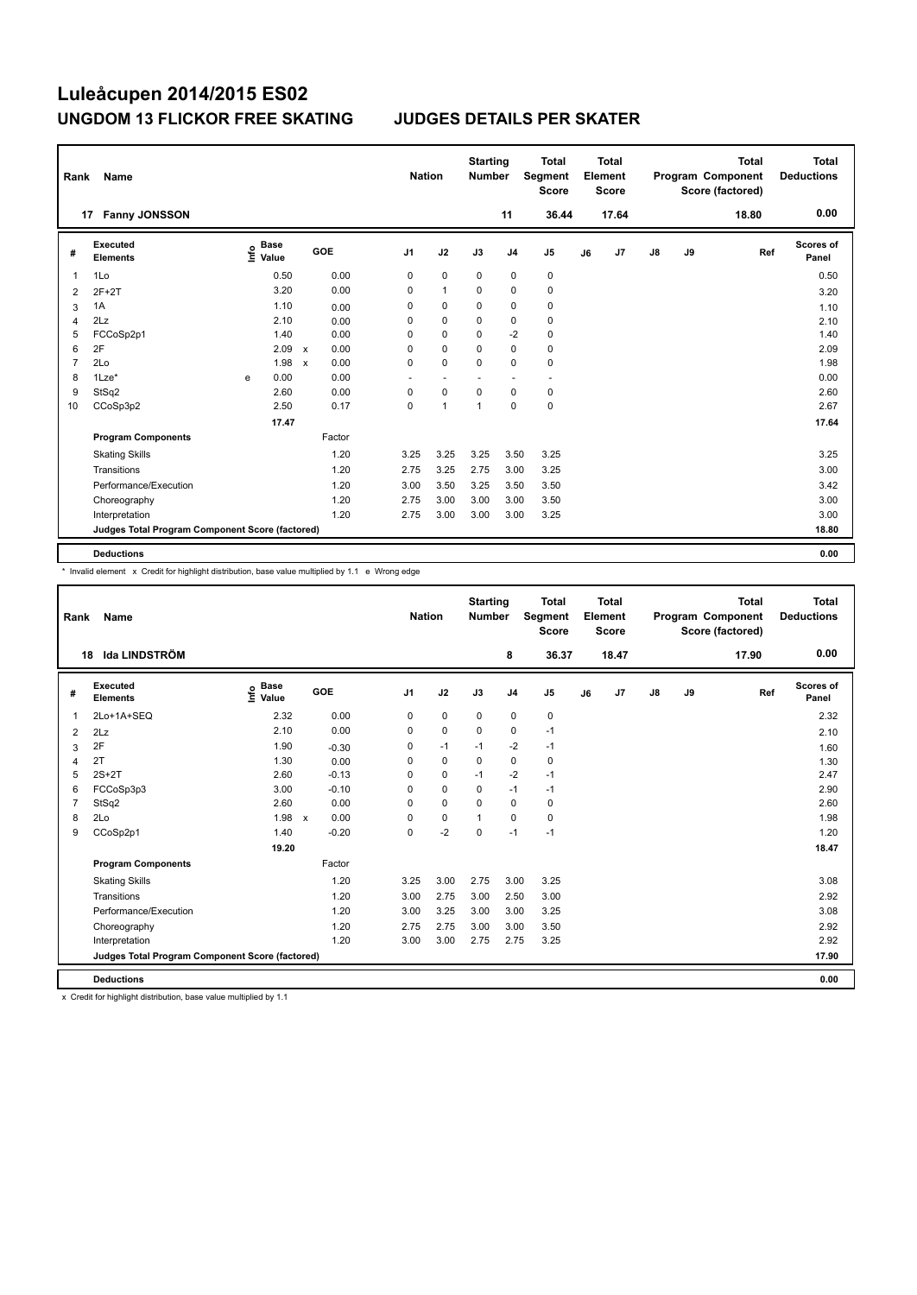| Rank           | Name                                            |      |                      |              |        |                | <b>Nation</b>            |                | <b>Starting</b><br><b>Number</b> |                | <b>Total</b><br><b>Segment</b><br><b>Score</b> |    | <b>Total</b><br>Element<br><b>Score</b> |               |    | <b>Total</b><br>Program Component<br>Score (factored) | <b>Total</b><br><b>Deductions</b> |
|----------------|-------------------------------------------------|------|----------------------|--------------|--------|----------------|--------------------------|----------------|----------------------------------|----------------|------------------------------------------------|----|-----------------------------------------|---------------|----|-------------------------------------------------------|-----------------------------------|
|                | <b>Fanny JONSSON</b><br>17                      |      |                      |              |        |                |                          |                |                                  | 11             | 36.44                                          |    | 17.64                                   |               |    | 18.80                                                 | 0.00                              |
| #              | Executed<br><b>Elements</b>                     | ١nf٥ | <b>Base</b><br>Value |              | GOE    | J <sub>1</sub> |                          | J2             | J3                               | J <sub>4</sub> | J <sub>5</sub>                                 | J6 | J7                                      | $\mathsf{J}8$ | J9 | Ref                                                   | <b>Scores of</b><br>Panel         |
| -1             | 1Lo                                             |      | 0.50                 |              | 0.00   |                | 0                        | $\mathbf 0$    | $\Omega$                         | $\mathbf 0$    | 0                                              |    |                                         |               |    |                                                       | 0.50                              |
| $\overline{2}$ | $2F+2T$                                         |      | 3.20                 |              | 0.00   |                | 0                        | $\mathbf{1}$   | 0                                | 0              | $\pmb{0}$                                      |    |                                         |               |    |                                                       | 3.20                              |
| 3              | 1A                                              |      | 1.10                 |              | 0.00   |                | 0                        | $\Omega$       | 0                                | 0              | 0                                              |    |                                         |               |    |                                                       | 1.10                              |
| 4              | 2Lz                                             |      | 2.10                 |              | 0.00   |                | 0                        | 0              | $\Omega$                         | 0              | 0                                              |    |                                         |               |    |                                                       | 2.10                              |
| 5              | FCCoSp2p1                                       |      | 1.40                 |              | 0.00   |                | 0                        | $\mathbf 0$    | 0                                | $-2$           | $\pmb{0}$                                      |    |                                         |               |    |                                                       | 1.40                              |
| 6              | 2F                                              |      | 2.09                 | $\mathsf{x}$ | 0.00   |                | 0                        | $\Omega$       | $\Omega$                         | $\Omega$       | $\mathbf 0$                                    |    |                                         |               |    |                                                       | 2.09                              |
| 7              | 2Lo                                             |      | 1.98                 | $\mathsf{x}$ | 0.00   |                | 0                        | 0              | 0                                | $\mathbf 0$    | $\mathbf 0$                                    |    |                                         |               |    |                                                       | 1.98                              |
| 8              | $1$ Lze $*$                                     | e    | 0.00                 |              | 0.00   |                | $\overline{\phantom{a}}$ |                |                                  |                | $\overline{\phantom{a}}$                       |    |                                         |               |    |                                                       | 0.00                              |
| 9              | StSq2                                           |      | 2.60                 |              | 0.00   |                | 0                        | $\mathbf 0$    | 0                                | $\mathbf 0$    | $\mathbf 0$                                    |    |                                         |               |    |                                                       | 2.60                              |
| 10             | CCoSp3p2                                        |      | 2.50                 |              | 0.17   |                | 0                        | $\overline{1}$ | 1                                | $\mathbf 0$    | $\mathbf 0$                                    |    |                                         |               |    |                                                       | 2.67                              |
|                |                                                 |      | 17.47                |              |        |                |                          |                |                                  |                |                                                |    |                                         |               |    |                                                       | 17.64                             |
|                | <b>Program Components</b>                       |      |                      |              | Factor |                |                          |                |                                  |                |                                                |    |                                         |               |    |                                                       |                                   |
|                | <b>Skating Skills</b>                           |      |                      |              | 1.20   |                | 3.25                     | 3.25           | 3.25                             | 3.50           | 3.25                                           |    |                                         |               |    |                                                       | 3.25                              |
|                | Transitions                                     |      |                      |              | 1.20   |                | 2.75                     | 3.25           | 2.75                             | 3.00           | 3.25                                           |    |                                         |               |    |                                                       | 3.00                              |
|                | Performance/Execution                           |      |                      |              | 1.20   |                | 3.00                     | 3.50           | 3.25                             | 3.50           | 3.50                                           |    |                                         |               |    |                                                       | 3.42                              |
|                | Choreography                                    |      |                      |              | 1.20   |                | 2.75                     | 3.00           | 3.00                             | 3.00           | 3.50                                           |    |                                         |               |    |                                                       | 3.00                              |
|                | Interpretation                                  |      |                      |              | 1.20   |                | 2.75                     | 3.00           | 3.00                             | 3.00           | 3.25                                           |    |                                         |               |    |                                                       | 3.00                              |
|                | Judges Total Program Component Score (factored) |      |                      |              |        |                |                          |                |                                  |                |                                                |    |                                         |               |    |                                                       | 18.80                             |
|                | <b>Deductions</b>                               |      |                      |              |        |                |                          |                |                                  |                |                                                |    |                                         |               |    |                                                       | 0.00                              |

\* Invalid element x Credit for highlight distribution, base value multiplied by 1.1 e Wrong edge

| Rank           | Name                                            |                                  |                                   | <b>Nation</b>  |             | <b>Starting</b><br><b>Number</b> |                | <b>Total</b><br>Segment<br><b>Score</b> |    | Total<br>Element<br><b>Score</b> |               |    | <b>Total</b><br>Program Component<br>Score (factored) | <b>Total</b><br><b>Deductions</b> |
|----------------|-------------------------------------------------|----------------------------------|-----------------------------------|----------------|-------------|----------------------------------|----------------|-----------------------------------------|----|----------------------------------|---------------|----|-------------------------------------------------------|-----------------------------------|
| 18             | <b>Ida LINDSTRÖM</b>                            |                                  |                                   |                |             |                                  | 8              | 36.37                                   |    | 18.47                            |               |    | 17.90                                                 | 0.00                              |
| #              | Executed<br><b>Elements</b>                     | <b>Base</b><br>e Base<br>⊆ Value | GOE                               | J <sub>1</sub> | J2          | J3                               | J <sub>4</sub> | J <sub>5</sub>                          | J6 | J7                               | $\mathsf{J}8$ | J9 | Ref                                                   | Scores of<br>Panel                |
| 1              | 2Lo+1A+SEQ                                      | 2.32                             | 0.00                              | 0              | 0           | 0                                | 0              | 0                                       |    |                                  |               |    |                                                       | 2.32                              |
| 2              | 2Lz                                             | 2.10                             | 0.00                              | $\Omega$       | $\mathbf 0$ | $\Omega$                         | $\mathbf 0$    | $-1$                                    |    |                                  |               |    |                                                       | 2.10                              |
| 3              | 2F                                              | 1.90                             | $-0.30$                           | 0              | $-1$        | $-1$                             | $-2$           | $-1$                                    |    |                                  |               |    |                                                       | 1.60                              |
| 4              | 2T                                              | 1.30                             | 0.00                              | $\Omega$       | $\mathbf 0$ | $\Omega$                         | $\mathbf 0$    | 0                                       |    |                                  |               |    |                                                       | 1.30                              |
| 5              | $2S+2T$                                         | 2.60                             | $-0.13$                           | 0              | $\mathbf 0$ | $-1$                             | $-2$           | $-1$                                    |    |                                  |               |    |                                                       | 2.47                              |
| 6              | FCCoSp3p3                                       | 3.00                             | $-0.10$                           | $\Omega$       | $\mathbf 0$ | $\Omega$                         | $-1$           | $-1$                                    |    |                                  |               |    |                                                       | 2.90                              |
| $\overline{7}$ | StSq2                                           | 2.60                             | 0.00                              | 0              | $\mathbf 0$ | $\Omega$                         | $\Omega$       | 0                                       |    |                                  |               |    |                                                       | 2.60                              |
| 8              | 2Lo                                             | 1.98                             | 0.00<br>$\boldsymbol{\mathsf{x}}$ | 0              | $\pmb{0}$   | $\mathbf{1}$                     | $\Omega$       | 0                                       |    |                                  |               |    |                                                       | 1.98                              |
| 9              | CCoSp2p1                                        | 1.40                             | $-0.20$                           | 0              | $-2$        | $\mathbf 0$                      | $-1$           | $-1$                                    |    |                                  |               |    |                                                       | 1.20                              |
|                |                                                 | 19.20                            |                                   |                |             |                                  |                |                                         |    |                                  |               |    |                                                       | 18.47                             |
|                | <b>Program Components</b>                       |                                  | Factor                            |                |             |                                  |                |                                         |    |                                  |               |    |                                                       |                                   |
|                | <b>Skating Skills</b>                           |                                  | 1.20                              | 3.25           | 3.00        | 2.75                             | 3.00           | 3.25                                    |    |                                  |               |    |                                                       | 3.08                              |
|                | Transitions                                     |                                  | 1.20                              | 3.00           | 2.75        | 3.00                             | 2.50           | 3.00                                    |    |                                  |               |    |                                                       | 2.92                              |
|                | Performance/Execution                           |                                  | 1.20                              | 3.00           | 3.25        | 3.00                             | 3.00           | 3.25                                    |    |                                  |               |    |                                                       | 3.08                              |
|                | Choreography                                    |                                  | 1.20                              | 2.75           | 2.75        | 3.00                             | 3.00           | 3.50                                    |    |                                  |               |    |                                                       | 2.92                              |
|                | Interpretation                                  |                                  | 1.20                              | 3.00           | 3.00        | 2.75                             | 2.75           | 3.25                                    |    |                                  |               |    |                                                       | 2.92                              |
|                | Judges Total Program Component Score (factored) |                                  |                                   |                |             |                                  |                |                                         |    |                                  |               |    |                                                       | 17.90                             |
|                | <b>Deductions</b>                               |                                  |                                   |                |             |                                  |                |                                         |    |                                  |               |    |                                                       | 0.00                              |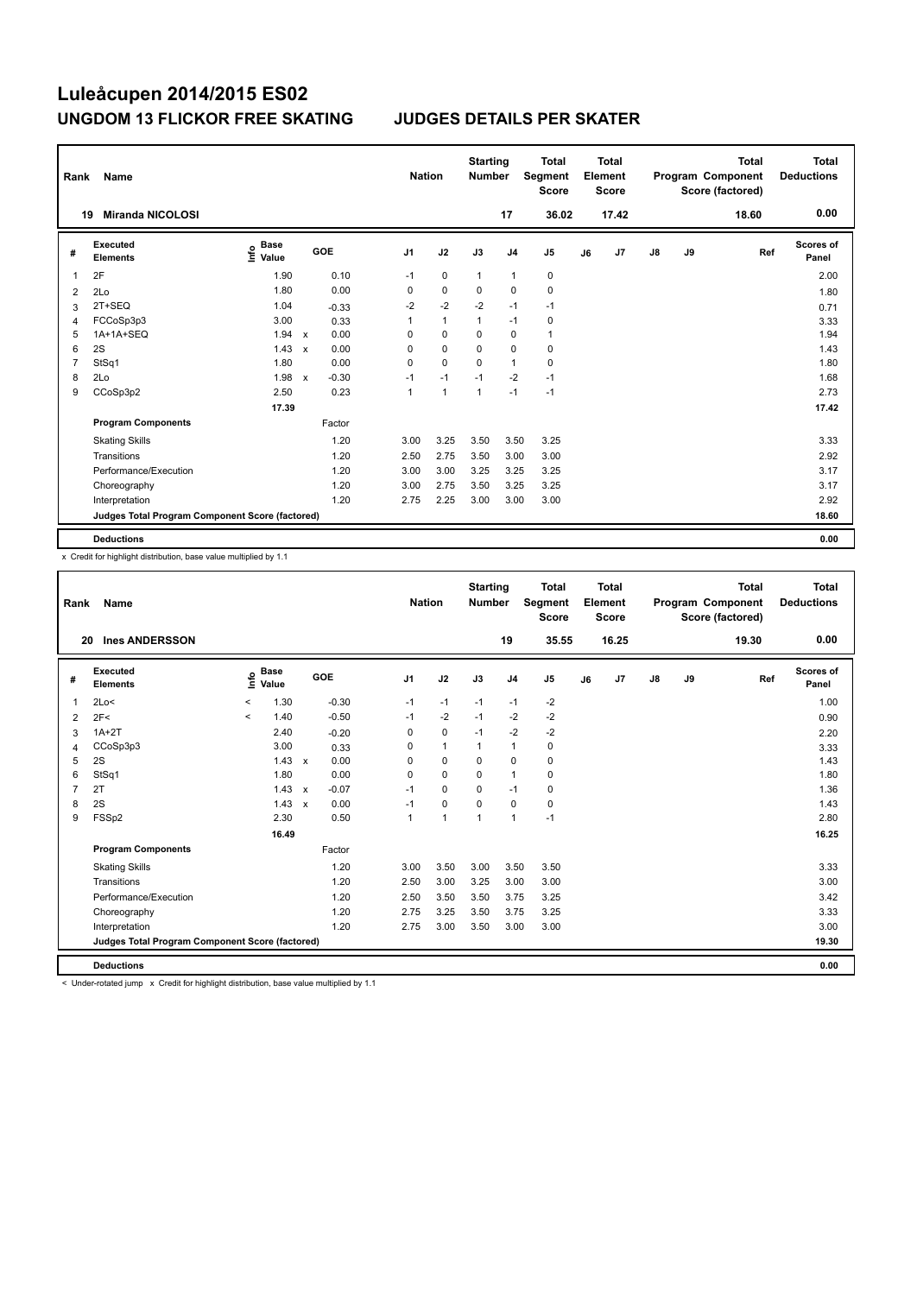| Rank           | Name                                            |                                  |                           |         |                | <b>Nation</b>  |              | <b>Starting</b><br><b>Number</b> |                | <b>Total</b><br>Segment<br><b>Score</b> |    | <b>Total</b><br>Element<br><b>Score</b> |               |    | <b>Total</b><br>Program Component<br>Score (factored) | <b>Total</b><br><b>Deductions</b> |
|----------------|-------------------------------------------------|----------------------------------|---------------------------|---------|----------------|----------------|--------------|----------------------------------|----------------|-----------------------------------------|----|-----------------------------------------|---------------|----|-------------------------------------------------------|-----------------------------------|
|                | <b>Miranda NICOLOSI</b><br>19                   |                                  |                           |         |                |                |              |                                  | 17             | 36.02                                   |    | 17.42                                   |               |    | 18.60                                                 | 0.00                              |
| #              | Executed<br><b>Elements</b>                     | <b>Base</b><br>e Base<br>⊆ Value |                           | GOE     | J <sub>1</sub> | J2             |              | J3                               | J <sub>4</sub> | J5                                      | J6 | J7                                      | $\mathsf{J}8$ | J9 | Ref                                                   | Scores of<br>Panel                |
| 1              | 2F                                              | 1.90                             |                           | 0.10    | $-1$           |                | $\mathbf 0$  | $\mathbf{1}$                     | $\mathbf{1}$   | 0                                       |    |                                         |               |    |                                                       | 2.00                              |
| 2              | 2Lo                                             | 1.80                             |                           | 0.00    | 0              |                | $\mathbf 0$  | 0                                | $\mathbf 0$    | $\mathbf 0$                             |    |                                         |               |    |                                                       | 1.80                              |
| 3              | 2T+SEQ                                          | 1.04                             |                           | $-0.33$ | $-2$           |                | $-2$         | $-2$                             | $-1$           | $-1$                                    |    |                                         |               |    |                                                       | 0.71                              |
| 4              | FCCoSp3p3                                       | 3.00                             |                           | 0.33    | 1              |                | $\mathbf{1}$ | $\mathbf{1}$                     | $-1$           | $\pmb{0}$                               |    |                                         |               |    |                                                       | 3.33                              |
| 5              | 1A+1A+SEQ                                       | 1.94                             | $\mathsf{x}$              | 0.00    | 0              |                | 0            | $\Omega$                         | 0              | $\mathbf{1}$                            |    |                                         |               |    |                                                       | 1.94                              |
| 6              | 2S                                              | 1.43                             | $\boldsymbol{\mathsf{x}}$ | 0.00    | 0              |                | $\mathbf 0$  | 0                                | $\mathbf 0$    | $\mathbf 0$                             |    |                                         |               |    |                                                       | 1.43                              |
| $\overline{7}$ | StSq1                                           | 1.80                             |                           | 0.00    | 0              |                | $\mathbf 0$  | $\mathbf 0$                      | $\mathbf{1}$   | $\pmb{0}$                               |    |                                         |               |    |                                                       | 1.80                              |
| 8              | 2Lo                                             | 1.98                             | $\boldsymbol{\mathsf{x}}$ | $-0.30$ | $-1$           |                | $-1$         | $-1$                             | $-2$           | $-1$                                    |    |                                         |               |    |                                                       | 1.68                              |
| 9              | CCoSp3p2                                        | 2.50                             |                           | 0.23    | 1              | $\overline{1}$ |              | 1                                | $-1$           | $-1$                                    |    |                                         |               |    |                                                       | 2.73                              |
|                |                                                 | 17.39                            |                           |         |                |                |              |                                  |                |                                         |    |                                         |               |    |                                                       | 17.42                             |
|                | <b>Program Components</b>                       |                                  |                           | Factor  |                |                |              |                                  |                |                                         |    |                                         |               |    |                                                       |                                   |
|                | <b>Skating Skills</b>                           |                                  |                           | 1.20    | 3.00           |                | 3.25         | 3.50                             | 3.50           | 3.25                                    |    |                                         |               |    |                                                       | 3.33                              |
|                | Transitions                                     |                                  |                           | 1.20    | 2.50           |                | 2.75         | 3.50                             | 3.00           | 3.00                                    |    |                                         |               |    |                                                       | 2.92                              |
|                | Performance/Execution                           |                                  |                           | 1.20    | 3.00           |                | 3.00         | 3.25                             | 3.25           | 3.25                                    |    |                                         |               |    |                                                       | 3.17                              |
|                | Choreography                                    |                                  |                           | 1.20    | 3.00           |                | 2.75         | 3.50                             | 3.25           | 3.25                                    |    |                                         |               |    |                                                       | 3.17                              |
|                | Interpretation                                  |                                  |                           | 1.20    | 2.75           |                | 2.25         | 3.00                             | 3.00           | 3.00                                    |    |                                         |               |    |                                                       | 2.92                              |
|                | Judges Total Program Component Score (factored) |                                  |                           |         |                |                |              |                                  |                |                                         |    |                                         |               |    |                                                       | 18.60                             |
|                | <b>Deductions</b>                               |                                  |                           |         |                |                |              |                                  |                |                                         |    |                                         |               |    |                                                       | 0.00                              |

x Credit for highlight distribution, base value multiplied by 1.1

| Rank           | Name                                            |         |                      |              |         |                | <b>Nation</b>  | <b>Starting</b><br><b>Number</b> |                | <b>Total</b><br>Segment<br><b>Score</b> |    | Total<br>Element<br><b>Score</b> |               |    | <b>Total</b><br>Program Component<br>Score (factored) | Total<br><b>Deductions</b> |
|----------------|-------------------------------------------------|---------|----------------------|--------------|---------|----------------|----------------|----------------------------------|----------------|-----------------------------------------|----|----------------------------------|---------------|----|-------------------------------------------------------|----------------------------|
| 20             | <b>Ines ANDERSSON</b>                           |         |                      |              |         |                |                |                                  | 19             | 35.55                                   |    | 16.25                            |               |    | 19.30                                                 | 0.00                       |
| #              | Executed<br><b>Elements</b>                     | ١nf٥    | <b>Base</b><br>Value |              | GOE     | J <sub>1</sub> | J2             | J3                               | J <sub>4</sub> | J <sub>5</sub>                          | J6 | J7                               | $\mathsf{J}8$ | J9 | Ref                                                   | <b>Scores of</b><br>Panel  |
| 1              | 2Lo<                                            | $\,<\,$ | 1.30                 |              | $-0.30$ | $-1$           | $-1$           | $-1$                             | $-1$           | $-2$                                    |    |                                  |               |    |                                                       | 1.00                       |
| 2              | 2F<                                             | $\prec$ | 1.40                 |              | $-0.50$ | $-1$           | $-2$           | $-1$                             | $-2$           | $-2$                                    |    |                                  |               |    |                                                       | 0.90                       |
| 3              | $1A+2T$                                         |         | 2.40                 |              | $-0.20$ | 0              | $\mathbf 0$    | $-1$                             | $-2$           | $-2$                                    |    |                                  |               |    |                                                       | 2.20                       |
| 4              | CCoSp3p3                                        |         | 3.00                 |              | 0.33    | 0              | $\mathbf{1}$   | 1                                | $\mathbf{1}$   | $\mathbf 0$                             |    |                                  |               |    |                                                       | 3.33                       |
| 5              | 2S                                              |         | 1.43                 | $\mathbf{x}$ | 0.00    | 0              | $\mathbf 0$    | $\mathbf 0$                      | $\mathbf 0$    | $\mathbf 0$                             |    |                                  |               |    |                                                       | 1.43                       |
| 6              | StSq1                                           |         | 1.80                 |              | 0.00    | $\Omega$       | $\Omega$       | $\Omega$                         | $\mathbf{1}$   | 0                                       |    |                                  |               |    |                                                       | 1.80                       |
| $\overline{7}$ | 2T                                              |         | 1.43                 | $\mathsf{x}$ | $-0.07$ | $-1$           | $\Omega$       | $\Omega$                         | $-1$           | 0                                       |    |                                  |               |    |                                                       | 1.36                       |
| 8              | 2S                                              |         | 1.43                 | $\mathbf{x}$ | 0.00    | $-1$           | $\mathbf 0$    | $\mathbf 0$                      | $\mathbf 0$    | $\mathbf 0$                             |    |                                  |               |    |                                                       | 1.43                       |
| 9              | FSSp2                                           |         | 2.30                 |              | 0.50    | 1              | $\overline{1}$ | 1                                | $\mathbf{1}$   | $-1$                                    |    |                                  |               |    |                                                       | 2.80                       |
|                |                                                 |         | 16.49                |              |         |                |                |                                  |                |                                         |    |                                  |               |    |                                                       | 16.25                      |
|                | <b>Program Components</b>                       |         |                      |              | Factor  |                |                |                                  |                |                                         |    |                                  |               |    |                                                       |                            |
|                | <b>Skating Skills</b>                           |         |                      |              | 1.20    | 3.00           | 3.50           | 3.00                             | 3.50           | 3.50                                    |    |                                  |               |    |                                                       | 3.33                       |
|                | Transitions                                     |         |                      |              | 1.20    | 2.50           | 3.00           | 3.25                             | 3.00           | 3.00                                    |    |                                  |               |    |                                                       | 3.00                       |
|                | Performance/Execution                           |         |                      |              | 1.20    | 2.50           | 3.50           | 3.50                             | 3.75           | 3.25                                    |    |                                  |               |    |                                                       | 3.42                       |
|                | Choreography                                    |         |                      |              | 1.20    | 2.75           | 3.25           | 3.50                             | 3.75           | 3.25                                    |    |                                  |               |    |                                                       | 3.33                       |
|                | Interpretation                                  |         |                      |              | 1.20    | 2.75           | 3.00           | 3.50                             | 3.00           | 3.00                                    |    |                                  |               |    |                                                       | 3.00                       |
|                | Judges Total Program Component Score (factored) |         |                      |              |         |                |                |                                  |                |                                         |    |                                  |               |    |                                                       | 19.30                      |
|                | <b>Deductions</b>                               |         |                      |              |         |                |                |                                  |                |                                         |    |                                  |               |    |                                                       | 0.00                       |

< Under-rotated jump x Credit for highlight distribution, base value multiplied by 1.1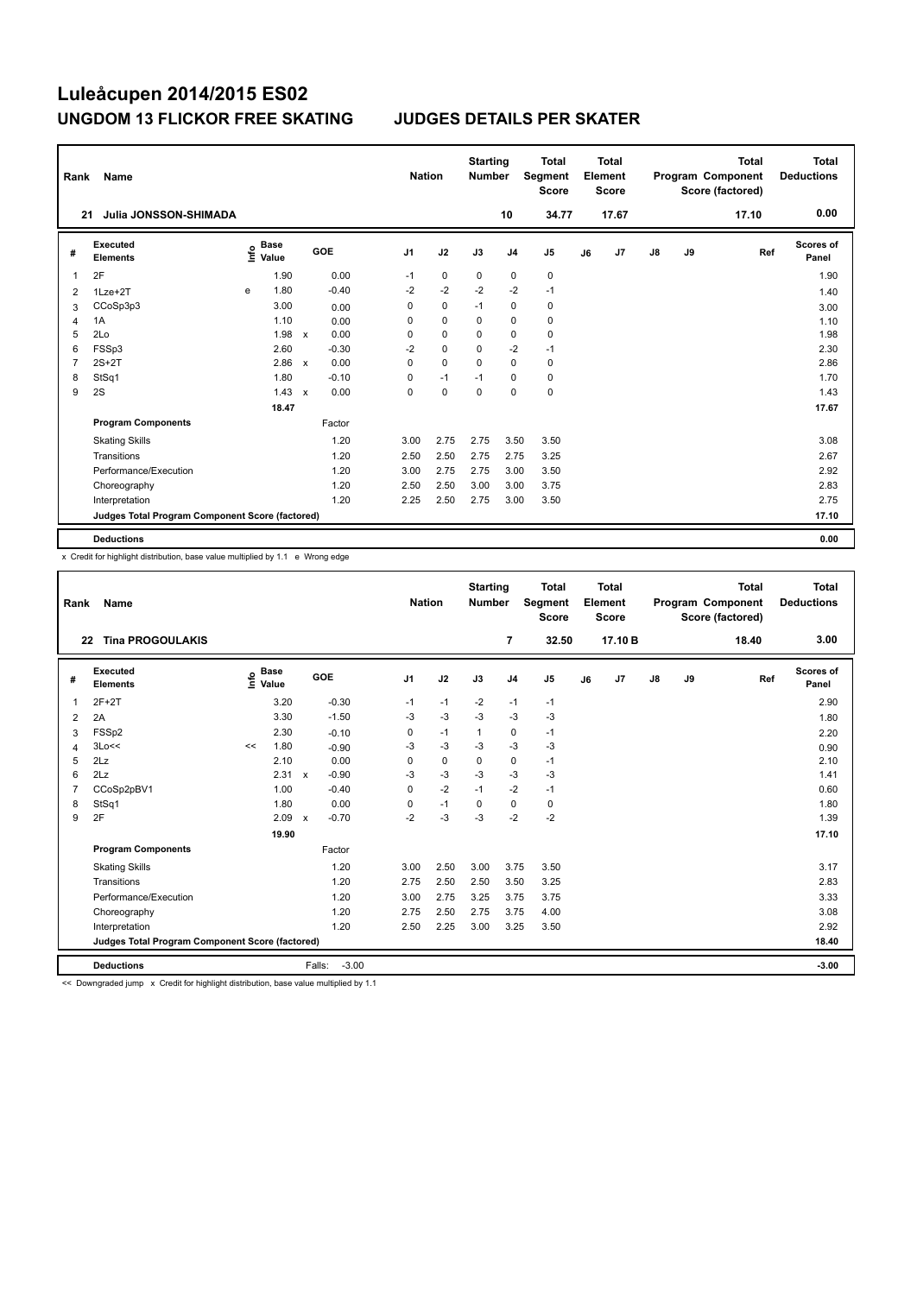| Rank           | Name                                            |   |                                  |              |         |                | <b>Nation</b> |             | <b>Starting</b><br><b>Number</b> |                | <b>Total</b><br>Segment<br><b>Score</b> |    | <b>Total</b><br>Element<br><b>Score</b> |               |    | <b>Total</b><br>Program Component<br>Score (factored) | <b>Total</b><br><b>Deductions</b> |
|----------------|-------------------------------------------------|---|----------------------------------|--------------|---------|----------------|---------------|-------------|----------------------------------|----------------|-----------------------------------------|----|-----------------------------------------|---------------|----|-------------------------------------------------------|-----------------------------------|
| 21             | Julia JONSSON-SHIMADA                           |   |                                  |              |         |                |               |             |                                  | 10             | 34.77                                   |    | 17.67                                   |               |    | 17.10                                                 | 0.00                              |
| #              | <b>Executed</b><br><b>Elements</b>              |   | <b>Base</b><br>e Base<br>⊆ Value |              | GOE     | J <sub>1</sub> |               | J2          | J3                               | J <sub>4</sub> | J5                                      | J6 | J7                                      | $\mathsf{J}8$ | J9 | Ref                                                   | Scores of<br>Panel                |
| 1              | 2F                                              |   | 1.90                             |              | 0.00    |                | $-1$          | 0           | 0                                | 0              | 0                                       |    |                                         |               |    |                                                       | 1.90                              |
| 2              | $1$ Lze $+2$ T                                  | e | 1.80                             |              | $-0.40$ |                | $-2$          | $-2$        | $-2$                             | $-2$           | $-1$                                    |    |                                         |               |    |                                                       | 1.40                              |
| 3              | CCoSp3p3                                        |   | 3.00                             |              | 0.00    |                | 0             | $\mathbf 0$ | $-1$                             | 0              | 0                                       |    |                                         |               |    |                                                       | 3.00                              |
| $\overline{4}$ | 1A                                              |   | 1.10                             |              | 0.00    |                | 0             | $\mathbf 0$ | 0                                | $\mathbf 0$    | $\pmb{0}$                               |    |                                         |               |    |                                                       | 1.10                              |
| 5              | 2Lo                                             |   | 1.98                             | $\mathsf{x}$ | 0.00    |                | 0             | 0           | 0                                | 0              | 0                                       |    |                                         |               |    |                                                       | 1.98                              |
| 6              | FSSp3                                           |   | 2.60                             |              | $-0.30$ |                | $-2$          | $\mathbf 0$ | 0                                | $-2$           | $-1$                                    |    |                                         |               |    |                                                       | 2.30                              |
| $\overline{7}$ | $2S+2T$                                         |   | 2.86                             | $\mathsf{x}$ | 0.00    |                | 0             | $\mathbf 0$ | $\mathbf 0$                      | $\mathbf 0$    | 0                                       |    |                                         |               |    |                                                       | 2.86                              |
| 8              | StSq1                                           |   | 1.80                             |              | $-0.10$ |                | 0             | $-1$        | $-1$                             | 0              | $\pmb{0}$                               |    |                                         |               |    |                                                       | 1.70                              |
| 9              | 2S                                              |   | 1.43                             | $\mathsf{x}$ | 0.00    |                | 0             | $\mathbf 0$ | $\mathbf 0$                      | $\mathbf 0$    | $\mathbf 0$                             |    |                                         |               |    |                                                       | 1.43                              |
|                |                                                 |   | 18.47                            |              |         |                |               |             |                                  |                |                                         |    |                                         |               |    |                                                       | 17.67                             |
|                | <b>Program Components</b>                       |   |                                  |              | Factor  |                |               |             |                                  |                |                                         |    |                                         |               |    |                                                       |                                   |
|                | <b>Skating Skills</b>                           |   |                                  |              | 1.20    |                | 3.00          | 2.75        | 2.75                             | 3.50           | 3.50                                    |    |                                         |               |    |                                                       | 3.08                              |
|                | Transitions                                     |   |                                  |              | 1.20    |                | 2.50          | 2.50        | 2.75                             | 2.75           | 3.25                                    |    |                                         |               |    |                                                       | 2.67                              |
|                | Performance/Execution                           |   |                                  |              | 1.20    |                | 3.00          | 2.75        | 2.75                             | 3.00           | 3.50                                    |    |                                         |               |    |                                                       | 2.92                              |
|                | Choreography                                    |   |                                  |              | 1.20    |                | 2.50          | 2.50        | 3.00                             | 3.00           | 3.75                                    |    |                                         |               |    |                                                       | 2.83                              |
|                | Interpretation                                  |   |                                  |              | 1.20    |                | 2.25          | 2.50        | 2.75                             | 3.00           | 3.50                                    |    |                                         |               |    |                                                       | 2.75                              |
|                | Judges Total Program Component Score (factored) |   |                                  |              |         |                |               |             |                                  |                |                                         |    |                                         |               |    |                                                       | 17.10                             |
|                | <b>Deductions</b>                               |   |                                  |              |         |                |               |             |                                  |                |                                         |    |                                         |               |    |                                                       | 0.00                              |

x Credit for highlight distribution, base value multiplied by 1.1 e Wrong edge

| Rank           | Name                                            |    |                                  |                           |         | <b>Nation</b>  |             | <b>Starting</b><br><b>Number</b> |                | <b>Total</b><br>Segment<br><b>Score</b> |    | Total<br>Element<br><b>Score</b> |               |    | <b>Total</b><br>Program Component<br>Score (factored) | Total<br><b>Deductions</b> |
|----------------|-------------------------------------------------|----|----------------------------------|---------------------------|---------|----------------|-------------|----------------------------------|----------------|-----------------------------------------|----|----------------------------------|---------------|----|-------------------------------------------------------|----------------------------|
|                | <b>Tina PROGOULAKIS</b><br>22                   |    |                                  |                           |         |                |             |                                  | 7              | 32.50                                   |    | 17.10 B                          |               |    | 18.40                                                 | 3.00                       |
| #              | Executed<br><b>Elements</b>                     |    | <b>Base</b><br>e Base<br>⊆ Value |                           | GOE     | J <sub>1</sub> | J2          | J3                               | J <sub>4</sub> | J <sub>5</sub>                          | J6 | J7                               | $\mathsf{J}8$ | J9 | Ref                                                   | Scores of<br>Panel         |
| 1              | $2F+2T$                                         |    | 3.20                             |                           | $-0.30$ | $-1$           | $-1$        | $-2$                             | $-1$           | $-1$                                    |    |                                  |               |    |                                                       | 2.90                       |
| $\overline{2}$ | 2A                                              |    | 3.30                             |                           | $-1.50$ | -3             | $-3$        | $-3$                             | $-3$           | $-3$                                    |    |                                  |               |    |                                                       | 1.80                       |
| 3              | FSSp2                                           |    | 2.30                             |                           | $-0.10$ | 0              | $-1$        | 1                                | 0              | $-1$                                    |    |                                  |               |    |                                                       | 2.20                       |
| 4              | 3Lo<<                                           | << | 1.80                             |                           | $-0.90$ | $-3$           | $-3$        | $-3$                             | $-3$           | $-3$                                    |    |                                  |               |    |                                                       | 0.90                       |
| 5              | 2Lz                                             |    | 2.10                             |                           | 0.00    | 0              | $\mathbf 0$ | $\mathbf 0$                      | 0              | $-1$                                    |    |                                  |               |    |                                                       | 2.10                       |
| 6              | 2Lz                                             |    | 2.31                             | $\mathsf{x}$              | $-0.90$ | $-3$           | $-3$        | -3                               | $-3$           | $-3$                                    |    |                                  |               |    |                                                       | 1.41                       |
| $\overline{7}$ | CCoSp2pBV1                                      |    | 1.00                             |                           | $-0.40$ | 0              | $-2$        | $-1$                             | $-2$           | $-1$                                    |    |                                  |               |    |                                                       | 0.60                       |
| 8              | StSq1                                           |    | 1.80                             |                           | 0.00    | 0              | $-1$        | 0                                | 0              | 0                                       |    |                                  |               |    |                                                       | 1.80                       |
| 9              | 2F                                              |    | 2.09                             | $\boldsymbol{\mathsf{x}}$ | $-0.70$ | $-2$           | $-3$        | $-3$                             | $-2$           | $-2$                                    |    |                                  |               |    |                                                       | 1.39                       |
|                |                                                 |    | 19.90                            |                           |         |                |             |                                  |                |                                         |    |                                  |               |    |                                                       | 17.10                      |
|                | <b>Program Components</b>                       |    |                                  |                           | Factor  |                |             |                                  |                |                                         |    |                                  |               |    |                                                       |                            |
|                | <b>Skating Skills</b>                           |    |                                  |                           | 1.20    | 3.00           | 2.50        | 3.00                             | 3.75           | 3.50                                    |    |                                  |               |    |                                                       | 3.17                       |
|                | Transitions                                     |    |                                  |                           | 1.20    | 2.75           | 2.50        | 2.50                             | 3.50           | 3.25                                    |    |                                  |               |    |                                                       | 2.83                       |
|                | Performance/Execution                           |    |                                  |                           | 1.20    | 3.00           | 2.75        | 3.25                             | 3.75           | 3.75                                    |    |                                  |               |    |                                                       | 3.33                       |
|                | Choreography                                    |    |                                  |                           | 1.20    | 2.75           | 2.50        | 2.75                             | 3.75           | 4.00                                    |    |                                  |               |    |                                                       | 3.08                       |
|                | Interpretation                                  |    |                                  |                           | 1.20    | 2.50           | 2.25        | 3.00                             | 3.25           | 3.50                                    |    |                                  |               |    |                                                       | 2.92                       |
|                | Judges Total Program Component Score (factored) |    |                                  |                           |         |                |             |                                  |                |                                         |    |                                  |               |    |                                                       | 18.40                      |
|                | <b>Deductions</b>                               |    |                                  | Falls:                    | $-3.00$ |                |             |                                  |                |                                         |    |                                  |               |    |                                                       | $-3.00$                    |

<< Downgraded jump x Credit for highlight distribution, base value multiplied by 1.1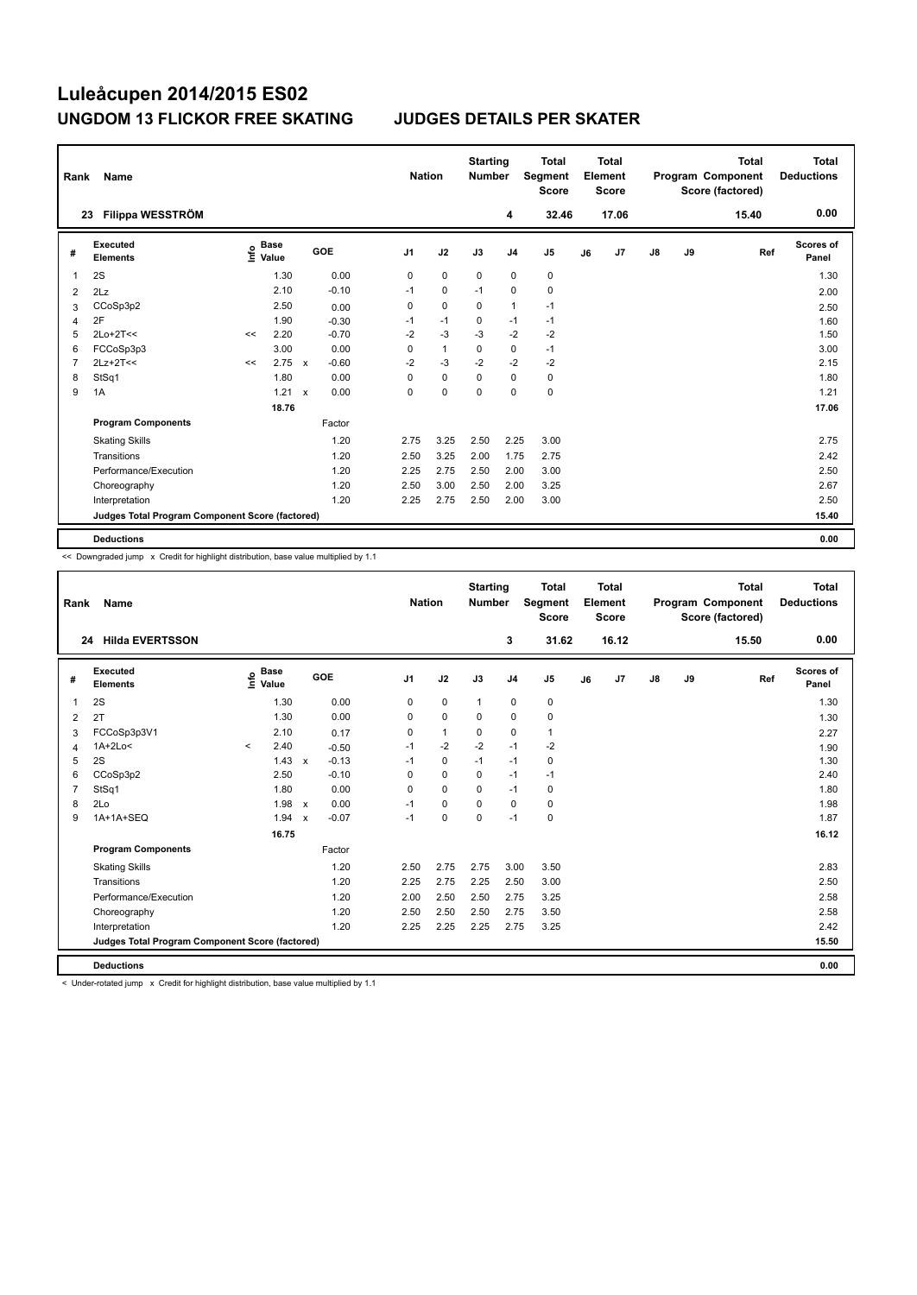| Rank           | Name                                            |    |                                  |              |         |                | <b>Nation</b> |              | <b>Starting</b><br><b>Number</b> |                | Total<br>Segment<br><b>Score</b> |    | <b>Total</b><br>Element<br><b>Score</b> |               |    | <b>Total</b><br>Program Component<br>Score (factored) | Total<br><b>Deductions</b> |
|----------------|-------------------------------------------------|----|----------------------------------|--------------|---------|----------------|---------------|--------------|----------------------------------|----------------|----------------------------------|----|-----------------------------------------|---------------|----|-------------------------------------------------------|----------------------------|
|                | Filippa WESSTRÖM<br>23                          |    |                                  |              |         |                |               |              |                                  | 4              | 32.46                            |    | 17.06                                   |               |    | 15.40                                                 | 0.00                       |
| #              | Executed<br><b>Elements</b>                     |    | <b>Base</b><br>e Base<br>⊆ Value |              | GOE     | J <sub>1</sub> |               | J2           | J3                               | J <sub>4</sub> | J5                               | J6 | J7                                      | $\mathsf{J}8$ | J9 | Ref                                                   | <b>Scores of</b><br>Panel  |
| 1              | 2S                                              |    | 1.30                             |              | 0.00    | 0              |               | $\mathbf 0$  | 0                                | 0              | $\pmb{0}$                        |    |                                         |               |    |                                                       | 1.30                       |
| 2              | 2Lz                                             |    | 2.10                             |              | $-0.10$ | $-1$           |               | $\mathbf 0$  | $-1$                             | $\mathbf 0$    | $\mathbf 0$                      |    |                                         |               |    |                                                       | 2.00                       |
| 3              | CCoSp3p2                                        |    | 2.50                             |              | 0.00    | 0              |               | $\mathbf 0$  | 0                                | $\mathbf{1}$   | $-1$                             |    |                                         |               |    |                                                       | 2.50                       |
| 4              | 2F                                              |    | 1.90                             |              | $-0.30$ | $-1$           |               | $-1$         | $\mathbf 0$                      | $-1$           | $-1$                             |    |                                         |               |    |                                                       | 1.60                       |
| 5              | $2Lo+2T<<$                                      | << | 2.20                             |              | $-0.70$ | $-2$           |               | $-3$         | $-3$                             | $-2$           | $-2$                             |    |                                         |               |    |                                                       | 1.50                       |
| 6              | FCCoSp3p3                                       |    | 3.00                             |              | 0.00    | 0              |               | $\mathbf{1}$ | 0                                | $\mathbf 0$    | $-1$                             |    |                                         |               |    |                                                       | 3.00                       |
| $\overline{7}$ | $2Lz+2T<<$                                      | << | 2.75                             | $\mathbf x$  | $-0.60$ | $-2$           |               | $-3$         | $-2$                             | $-2$           | $-2$                             |    |                                         |               |    |                                                       | 2.15                       |
| 8              | StSq1                                           |    | 1.80                             |              | 0.00    | 0              |               | $\mathbf 0$  | 0                                | 0              | 0                                |    |                                         |               |    |                                                       | 1.80                       |
| 9              | 1A                                              |    | 1.21                             | $\mathsf{x}$ | 0.00    | 0              |               | 0            | 0                                | 0              | $\pmb{0}$                        |    |                                         |               |    |                                                       | 1.21                       |
|                |                                                 |    | 18.76                            |              |         |                |               |              |                                  |                |                                  |    |                                         |               |    |                                                       | 17.06                      |
|                | <b>Program Components</b>                       |    |                                  |              | Factor  |                |               |              |                                  |                |                                  |    |                                         |               |    |                                                       |                            |
|                | <b>Skating Skills</b>                           |    |                                  |              | 1.20    |                | 2.75          | 3.25         | 2.50                             | 2.25           | 3.00                             |    |                                         |               |    |                                                       | 2.75                       |
|                | Transitions                                     |    |                                  |              | 1.20    |                | 2.50          | 3.25         | 2.00                             | 1.75           | 2.75                             |    |                                         |               |    |                                                       | 2.42                       |
|                | Performance/Execution                           |    |                                  |              | 1.20    |                | 2.25          | 2.75         | 2.50                             | 2.00           | 3.00                             |    |                                         |               |    |                                                       | 2.50                       |
|                | Choreography                                    |    |                                  |              | 1.20    |                | 2.50          | 3.00         | 2.50                             | 2.00           | 3.25                             |    |                                         |               |    |                                                       | 2.67                       |
|                | Interpretation                                  |    |                                  |              | 1.20    |                | 2.25          | 2.75         | 2.50                             | 2.00           | 3.00                             |    |                                         |               |    |                                                       | 2.50                       |
|                | Judges Total Program Component Score (factored) |    |                                  |              |         |                |               |              |                                  |                |                                  |    |                                         |               |    |                                                       | 15.40                      |
|                | <b>Deductions</b>                               |    |                                  |              |         |                |               |              |                                  |                |                                  |    |                                         |               |    |                                                       | 0.00                       |

<< Downgraded jump x Credit for highlight distribution, base value multiplied by 1.1

| Rank           | Name                                            |         |                                  |                           |         | <b>Nation</b>  |              | <b>Starting</b><br><b>Number</b> |                | <b>Total</b><br>Segment<br><b>Score</b> |    | Total<br>Element<br><b>Score</b> |    |    | <b>Total</b><br>Program Component<br>Score (factored) | Total<br><b>Deductions</b> |
|----------------|-------------------------------------------------|---------|----------------------------------|---------------------------|---------|----------------|--------------|----------------------------------|----------------|-----------------------------------------|----|----------------------------------|----|----|-------------------------------------------------------|----------------------------|
| 24             | <b>Hilda EVERTSSON</b>                          |         |                                  |                           |         |                |              |                                  | 3              | 31.62                                   |    | 16.12                            |    |    | 15.50                                                 | 0.00                       |
| #              | Executed<br><b>Elements</b>                     |         | <b>Base</b><br>e Base<br>⊆ Value |                           | GOE     | J <sub>1</sub> | J2           | J3                               | J <sub>4</sub> | J <sub>5</sub>                          | J6 | J7                               | J8 | J9 | Ref                                                   | Scores of<br>Panel         |
| $\mathbf 1$    | 2S                                              |         | 1.30                             |                           | 0.00    | 0              | $\mathbf 0$  | $\mathbf{1}$                     | $\mathbf 0$    | 0                                       |    |                                  |    |    |                                                       | 1.30                       |
| 2              | 2T                                              |         | 1.30                             |                           | 0.00    | 0              | $\mathbf 0$  | $\mathbf 0$                      | $\mathbf 0$    | $\mathbf 0$                             |    |                                  |    |    |                                                       | 1.30                       |
| 3              | FCCoSp3p3V1                                     |         | 2.10                             |                           | 0.17    | $\mathbf 0$    | $\mathbf{1}$ | 0                                | $\mathbf 0$    | 1                                       |    |                                  |    |    |                                                       | 2.27                       |
| $\overline{4}$ | $1A+2Lo<$                                       | $\prec$ | 2.40                             |                           | $-0.50$ | $-1$           | $-2$         | $-2$                             | $-1$           | $-2$                                    |    |                                  |    |    |                                                       | 1.90                       |
| 5              | 2S                                              |         | 1.43                             | $\mathbf{x}$              | $-0.13$ | $-1$           | $\mathbf 0$  | $-1$                             | $-1$           | 0                                       |    |                                  |    |    |                                                       | 1.30                       |
| 6              | CCoSp3p2                                        |         | 2.50                             |                           | $-0.10$ | $\Omega$       | $\mathbf 0$  | $\Omega$                         | $-1$           | $-1$                                    |    |                                  |    |    |                                                       | 2.40                       |
| $\overline{7}$ | StSq1                                           |         | 1.80                             |                           | 0.00    | $\Omega$       | $\Omega$     | $\Omega$                         | $-1$           | $\mathbf 0$                             |    |                                  |    |    |                                                       | 1.80                       |
| 8              | 2Lo                                             |         | 1.98                             | $\mathsf{x}$              | 0.00    | $-1$           | $\mathbf 0$  | $\mathbf 0$                      | $\mathbf 0$    | 0                                       |    |                                  |    |    |                                                       | 1.98                       |
| 9              | 1A+1A+SEQ                                       |         | 1.94                             | $\boldsymbol{\mathsf{x}}$ | $-0.07$ | $-1$           | $\mathbf 0$  | 0                                | $-1$           | 0                                       |    |                                  |    |    |                                                       | 1.87                       |
|                |                                                 |         | 16.75                            |                           |         |                |              |                                  |                |                                         |    |                                  |    |    |                                                       | 16.12                      |
|                | <b>Program Components</b>                       |         |                                  |                           | Factor  |                |              |                                  |                |                                         |    |                                  |    |    |                                                       |                            |
|                | <b>Skating Skills</b>                           |         |                                  |                           | 1.20    | 2.50           | 2.75         | 2.75                             | 3.00           | 3.50                                    |    |                                  |    |    |                                                       | 2.83                       |
|                | Transitions                                     |         |                                  |                           | 1.20    | 2.25           | 2.75         | 2.25                             | 2.50           | 3.00                                    |    |                                  |    |    |                                                       | 2.50                       |
|                | Performance/Execution                           |         |                                  |                           | 1.20    | 2.00           | 2.50         | 2.50                             | 2.75           | 3.25                                    |    |                                  |    |    |                                                       | 2.58                       |
|                | Choreography                                    |         |                                  |                           | 1.20    | 2.50           | 2.50         | 2.50                             | 2.75           | 3.50                                    |    |                                  |    |    |                                                       | 2.58                       |
|                | Interpretation                                  |         |                                  |                           | 1.20    | 2.25           | 2.25         | 2.25                             | 2.75           | 3.25                                    |    |                                  |    |    |                                                       | 2.42                       |
|                | Judges Total Program Component Score (factored) |         |                                  |                           |         |                |              |                                  |                |                                         |    |                                  |    |    |                                                       | 15.50                      |
|                | <b>Deductions</b>                               |         |                                  |                           |         |                |              |                                  |                |                                         |    |                                  |    |    |                                                       | 0.00                       |

< Under-rotated jump x Credit for highlight distribution, base value multiplied by 1.1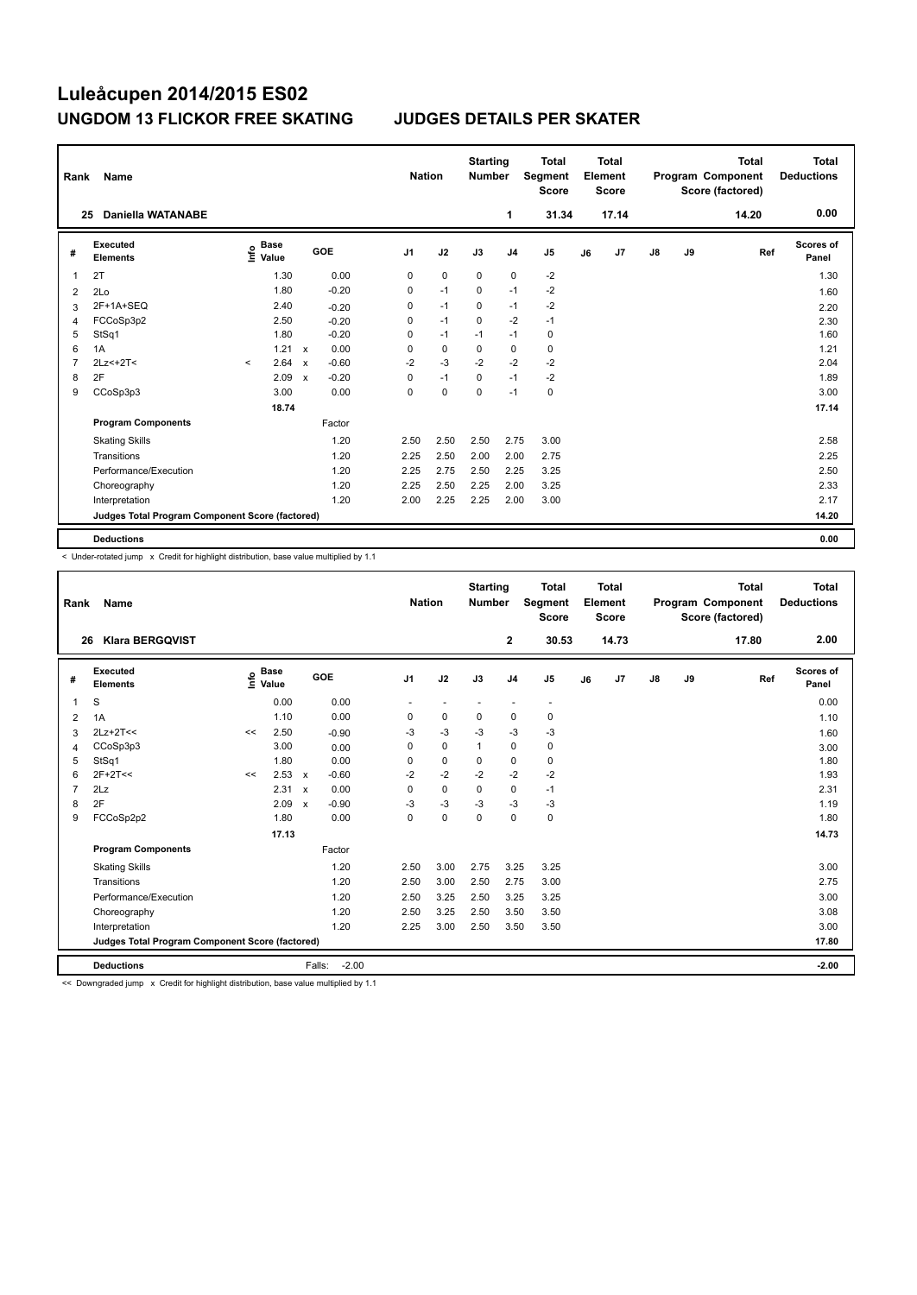| Rank           | Name                                            |         |                                  |                           |         | <b>Nation</b>  |             | <b>Starting</b><br><b>Number</b> |                | <b>Total</b><br>Segment<br><b>Score</b> |    | <b>Total</b><br>Element<br><b>Score</b> |               |    | <b>Total</b><br>Program Component<br>Score (factored) | <b>Total</b><br><b>Deductions</b> |
|----------------|-------------------------------------------------|---------|----------------------------------|---------------------------|---------|----------------|-------------|----------------------------------|----------------|-----------------------------------------|----|-----------------------------------------|---------------|----|-------------------------------------------------------|-----------------------------------|
|                | <b>Daniella WATANABE</b><br>25                  |         |                                  |                           |         |                |             |                                  | 1              | 31.34                                   |    | 17.14                                   |               |    | 14.20                                                 | 0.00                              |
| #              | Executed<br><b>Elements</b>                     |         | <b>Base</b><br>e Base<br>⊆ Value |                           | GOE     | J <sub>1</sub> | J2          | J3                               | J <sub>4</sub> | J5                                      | J6 | J7                                      | $\mathsf{J}8$ | J9 | Ref                                                   | Scores of<br>Panel                |
| 1              | 2T                                              |         | 1.30                             |                           | 0.00    | 0              | $\mathbf 0$ | 0                                | 0              | $-2$                                    |    |                                         |               |    |                                                       | 1.30                              |
| 2              | 2Lo                                             |         | 1.80                             |                           | $-0.20$ | 0              | $-1$        | 0                                | $-1$           | $-2$                                    |    |                                         |               |    |                                                       | 1.60                              |
| 3              | 2F+1A+SEQ                                       |         | 2.40                             |                           | $-0.20$ | 0              | $-1$        | 0                                | $-1$           | $-2$                                    |    |                                         |               |    |                                                       | 2.20                              |
| 4              | FCCoSp3p2                                       |         | 2.50                             |                           | $-0.20$ | 0              | $-1$        | $\mathbf 0$                      | $-2$           | $-1$                                    |    |                                         |               |    |                                                       | 2.30                              |
| 5              | StSq1                                           |         | 1.80                             |                           | $-0.20$ | 0              | $-1$        | $-1$                             | $-1$           | 0                                       |    |                                         |               |    |                                                       | 1.60                              |
| 6              | 1A                                              |         | 1.21                             | $\mathsf{x}$              | 0.00    | 0              | $\mathbf 0$ | 0                                | $\mathbf 0$    | $\mathbf 0$                             |    |                                         |               |    |                                                       | 1.21                              |
| $\overline{7}$ | $2Lz<+2T<$                                      | $\prec$ | 2.64                             | $\boldsymbol{\mathsf{x}}$ | $-0.60$ | $-2$           | $-3$        | $-2$                             | $-2$           | $-2$                                    |    |                                         |               |    |                                                       | 2.04                              |
| 8              | 2F                                              |         | 2.09                             | $\boldsymbol{\mathsf{x}}$ | $-0.20$ | 0              | $-1$        | 0                                | $-1$           | $-2$                                    |    |                                         |               |    |                                                       | 1.89                              |
| 9              | CCoSp3p3                                        |         | 3.00                             |                           | 0.00    | 0              | $\mathbf 0$ | 0                                | $-1$           | $\mathbf 0$                             |    |                                         |               |    |                                                       | 3.00                              |
|                |                                                 |         | 18.74                            |                           |         |                |             |                                  |                |                                         |    |                                         |               |    |                                                       | 17.14                             |
|                | <b>Program Components</b>                       |         |                                  |                           | Factor  |                |             |                                  |                |                                         |    |                                         |               |    |                                                       |                                   |
|                | <b>Skating Skills</b>                           |         |                                  |                           | 1.20    | 2.50           | 2.50        | 2.50                             | 2.75           | 3.00                                    |    |                                         |               |    |                                                       | 2.58                              |
|                | Transitions                                     |         |                                  |                           | 1.20    | 2.25           | 2.50        | 2.00                             | 2.00           | 2.75                                    |    |                                         |               |    |                                                       | 2.25                              |
|                | Performance/Execution                           |         |                                  |                           | 1.20    | 2.25           | 2.75        | 2.50                             | 2.25           | 3.25                                    |    |                                         |               |    |                                                       | 2.50                              |
|                | Choreography                                    |         |                                  |                           | 1.20    | 2.25           | 2.50        | 2.25                             | 2.00           | 3.25                                    |    |                                         |               |    |                                                       | 2.33                              |
|                | Interpretation                                  |         |                                  |                           | 1.20    | 2.00           | 2.25        | 2.25                             | 2.00           | 3.00                                    |    |                                         |               |    |                                                       | 2.17                              |
|                | Judges Total Program Component Score (factored) |         |                                  |                           |         |                |             |                                  |                |                                         |    |                                         |               |    |                                                       | 14.20                             |
|                | <b>Deductions</b>                               |         |                                  |                           |         |                |             |                                  |                |                                         |    |                                         |               |    |                                                       | 0.00                              |

-<br>< Under-rotated jump x Credit for highlight distribution, base value multiplied by 1.1

| Rank                                            | <b>Name</b>                 |    |                                  |                           |         | <b>Nation</b>  |             | <b>Starting</b><br><b>Number</b> |                | <b>Total</b><br><b>Segment</b><br><b>Score</b> |    | Total<br>Element<br><b>Score</b> |    |    | <b>Total</b><br>Program Component<br>Score (factored) | Total<br><b>Deductions</b> |
|-------------------------------------------------|-----------------------------|----|----------------------------------|---------------------------|---------|----------------|-------------|----------------------------------|----------------|------------------------------------------------|----|----------------------------------|----|----|-------------------------------------------------------|----------------------------|
| 26                                              | <b>Klara BERGQVIST</b>      |    |                                  |                           |         |                |             |                                  | $\mathbf{2}$   | 30.53                                          |    | 14.73                            |    |    | 17.80                                                 | 2.00                       |
| #                                               | Executed<br><b>Elements</b> |    | <b>Base</b><br>e Base<br>⊆ Value |                           | GOE     | J <sub>1</sub> | J2          | J3                               | J <sub>4</sub> | J <sub>5</sub>                                 | J6 | J7                               | J8 | J9 | Ref                                                   | Scores of<br>Panel         |
| $\overline{1}$                                  | S                           |    | 0.00                             |                           | 0.00    |                |             |                                  |                | $\sim$                                         |    |                                  |    |    |                                                       | 0.00                       |
| 2                                               | 1A                          |    | 1.10                             |                           | 0.00    | 0              | $\mathbf 0$ | 0                                | 0              | $\mathbf 0$                                    |    |                                  |    |    |                                                       | 1.10                       |
| 3                                               | $2Lz+2T<<$                  | << | 2.50                             |                           | $-0.90$ | -3             | $-3$        | $-3$                             | $-3$           | $-3$                                           |    |                                  |    |    |                                                       | 1.60                       |
| $\overline{4}$                                  | CCoSp3p3                    |    | 3.00                             |                           | 0.00    | $\Omega$       | $\mathbf 0$ | $\mathbf{1}$                     | $\mathbf 0$    | 0                                              |    |                                  |    |    |                                                       | 3.00                       |
| 5                                               | StSq1                       |    | 1.80                             |                           | 0.00    | 0              | $\mathbf 0$ | $\mathbf 0$                      | $\mathbf 0$    | $\mathbf 0$                                    |    |                                  |    |    |                                                       | 1.80                       |
| 6                                               | $2F+2T<<$                   | << | 2.53                             | $\boldsymbol{\mathsf{x}}$ | $-0.60$ | $-2$           | $-2$        | $-2$                             | $-2$           | $-2$                                           |    |                                  |    |    |                                                       | 1.93                       |
| $\overline{7}$                                  | 2Lz                         |    | 2.31                             | $\boldsymbol{\mathsf{x}}$ | 0.00    | $\mathbf 0$    | $\mathbf 0$ | $\Omega$                         | $\mathbf 0$    | $-1$                                           |    |                                  |    |    |                                                       | 2.31                       |
| 8                                               | 2F                          |    | 2.09                             | $\mathsf{x}$              | $-0.90$ | $-3$           | $-3$        | $-3$                             | $-3$           | $-3$                                           |    |                                  |    |    |                                                       | 1.19                       |
| 9                                               | FCCoSp2p2                   |    | 1.80                             |                           | 0.00    | 0              | $\mathbf 0$ | $\mathbf 0$                      | $\mathbf 0$    | 0                                              |    |                                  |    |    |                                                       | 1.80                       |
|                                                 |                             |    | 17.13                            |                           |         |                |             |                                  |                |                                                |    |                                  |    |    |                                                       | 14.73                      |
|                                                 | <b>Program Components</b>   |    |                                  |                           | Factor  |                |             |                                  |                |                                                |    |                                  |    |    |                                                       |                            |
|                                                 | <b>Skating Skills</b>       |    |                                  |                           | 1.20    | 2.50           | 3.00        | 2.75                             | 3.25           | 3.25                                           |    |                                  |    |    |                                                       | 3.00                       |
|                                                 | Transitions                 |    |                                  |                           | 1.20    | 2.50           | 3.00        | 2.50                             | 2.75           | 3.00                                           |    |                                  |    |    |                                                       | 2.75                       |
|                                                 | Performance/Execution       |    |                                  |                           | 1.20    | 2.50           | 3.25        | 2.50                             | 3.25           | 3.25                                           |    |                                  |    |    |                                                       | 3.00                       |
|                                                 | Choreography                |    |                                  |                           | 1.20    | 2.50           | 3.25        | 2.50                             | 3.50           | 3.50                                           |    |                                  |    |    |                                                       | 3.08                       |
|                                                 | Interpretation              |    |                                  |                           | 1.20    | 2.25           | 3.00        | 2.50                             | 3.50           | 3.50                                           |    |                                  |    |    |                                                       | 3.00                       |
| Judges Total Program Component Score (factored) |                             |    |                                  |                           |         |                |             |                                  |                |                                                |    |                                  |    |    |                                                       | 17.80                      |
|                                                 | <b>Deductions</b>           |    |                                  | Falls:                    | $-2.00$ |                |             |                                  |                |                                                |    |                                  |    |    |                                                       | $-2.00$                    |

<< Downgraded jump x Credit for highlight distribution, base value multiplied by 1.1